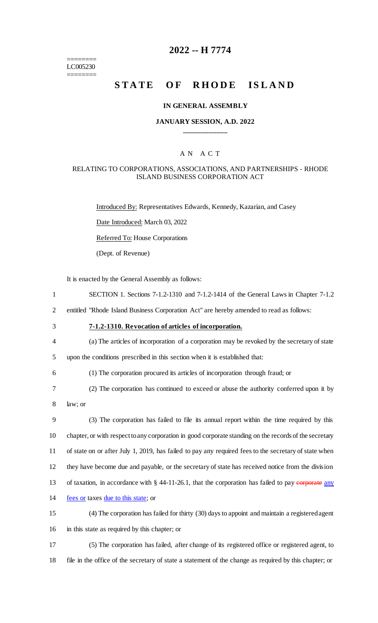======== LC005230 ========

# **2022 -- H 7774**

# **STATE OF RHODE ISLAND**

### **IN GENERAL ASSEMBLY**

### **JANUARY SESSION, A.D. 2022 \_\_\_\_\_\_\_\_\_\_\_\_**

### A N A C T

### RELATING TO CORPORATIONS, ASSOCIATIONS, AND PARTNERSHIPS - RHODE ISLAND BUSINESS CORPORATION ACT

Introduced By: Representatives Edwards, Kennedy, Kazarian, and Casey

Date Introduced: March 03, 2022

Referred To: House Corporations

(Dept. of Revenue)

It is enacted by the General Assembly as follows:

 SECTION 1. Sections 7-1.2-1310 and 7-1.2-1414 of the General Laws in Chapter 7-1.2 entitled "Rhode Island Business Corporation Act" are hereby amended to read as follows: **7-1.2-1310. Revocation of articles of incorporation.** (a) The articles of incorporation of a corporation may be revoked by the secretary of state upon the conditions prescribed in this section when it is established that: (1) The corporation procured its articles of incorporation through fraud; or (2) The corporation has continued to exceed or abuse the authority conferred upon it by 8 law; or (3) The corporation has failed to file its annual report within the time required by this chapter, or with respect to any corporation in good corporate standing on the records of the secretary of state on or after July 1, 2019, has failed to pay any required fees to the secretary of state when they have become due and payable, or the secretary of state has received notice from the division 13 of taxation, in accordance with § 44-11-26.1, that the corporation has failed to pay corporate any fees or taxes due to this state; or (4) The corporation has failed for thirty (30) days to appoint and maintain a registered agent in this state as required by this chapter; or (5) The corporation has failed, after change of its registered office or registered agent, to

18 file in the office of the secretary of state a statement of the change as required by this chapter; or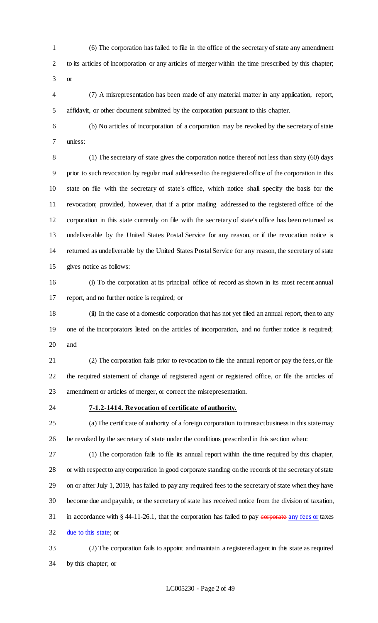(6) The corporation has failed to file in the office of the secretary of state any amendment to its articles of incorporation or any articles of merger within the time prescribed by this chapter; or

 (7) A misrepresentation has been made of any material matter in any application, report, affidavit, or other document submitted by the corporation pursuant to this chapter.

 (b) No articles of incorporation of a corporation may be revoked by the secretary of state unless:

 (1) The secretary of state gives the corporation notice thereof not less than sixty (60) days prior to such revocation by regular mail addressed to the registered office of the corporation in this state on file with the secretary of state's office, which notice shall specify the basis for the revocation; provided, however, that if a prior mailing addressed to the registered office of the corporation in this state currently on file with the secretary of state's office has been returned as undeliverable by the United States Postal Service for any reason, or if the revocation notice is returned as undeliverable by the United States Postal Service for any reason, the secretary of state gives notice as follows:

 (i) To the corporation at its principal office of record as shown in its most recent annual report, and no further notice is required; or

 (ii) In the case of a domestic corporation that has not yet filed an annual report, then to any one of the incorporators listed on the articles of incorporation, and no further notice is required; and

 (2) The corporation fails prior to revocation to file the annual report or pay the fees, or file the required statement of change of registered agent or registered office, or file the articles of amendment or articles of merger, or correct the misrepresentation.

# **7-1.2-1414. Revocation of certificate of authority.**

 (a) The certificate of authority of a foreign corporation to transact business in this state may be revoked by the secretary of state under the conditions prescribed in this section when:

 (1) The corporation fails to file its annual report within the time required by this chapter, or with respect to any corporation in good corporate standing on the records of the secretary of state on or after July 1, 2019, has failed to pay any required fees to the secretary of state when they have become due and payable, or the secretary of state has received notice from the division of taxation, 31 in accordance with  $§$  44-11-26.1, that the corporation has failed to pay corporate any fees or taxes due to this state; or

 (2) The corporation fails to appoint and maintain a registered agent in this state as required by this chapter; or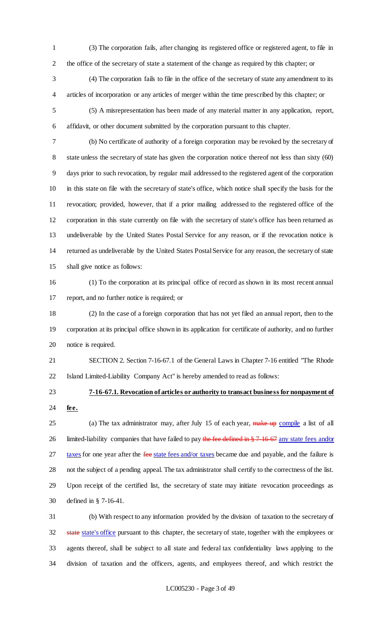(3) The corporation fails, after changing its registered office or registered agent, to file in the office of the secretary of state a statement of the change as required by this chapter; or

 (4) The corporation fails to file in the office of the secretary of state any amendment to its articles of incorporation or any articles of merger within the time prescribed by this chapter; or

 (5) A misrepresentation has been made of any material matter in any application, report, affidavit, or other document submitted by the corporation pursuant to this chapter.

 (b) No certificate of authority of a foreign corporation may be revoked by the secretary of state unless the secretary of state has given the corporation notice thereof not less than sixty (60) days prior to such revocation, by regular mail addressed to the registered agent of the corporation in this state on file with the secretary of state's office, which notice shall specify the basis for the revocation; provided, however, that if a prior mailing addressed to the registered office of the corporation in this state currently on file with the secretary of state's office has been returned as undeliverable by the United States Postal Service for any reason, or if the revocation notice is returned as undeliverable by the United States Postal Service for any reason, the secretary of state shall give notice as follows:

 (1) To the corporation at its principal office of record as shown in its most recent annual report, and no further notice is required; or

 (2) In the case of a foreign corporation that has not yet filed an annual report, then to the corporation at its principal office shown in its application for certificate of authority, and no further notice is required.

 SECTION 2. Section 7-16-67.1 of the General Laws in Chapter 7-16 entitled "The Rhode Island Limited-Liability Company Act" is hereby amended to read as follows:

# **7-16-67.1. Revocation of articles or authority to transact business for nonpayment of fee.**

25 (a) The tax administrator may, after July 15 of each year, make up compile a list of all 26 limited-liability companies that have failed to pay the fee defined in § 7-16-67 any state fees and/or 27 taxes for one year after the fee state fees and/or taxes became due and payable, and the failure is not the subject of a pending appeal. The tax administrator shall certify to the correctness of the list. Upon receipt of the certified list, the secretary of state may initiate revocation proceedings as defined in § 7-16-41.

 (b) With respect to any information provided by the division of taxation to the secretary of 32 state state's office pursuant to this chapter, the secretary of state, together with the employees or agents thereof, shall be subject to all state and federal tax confidentiality laws applying to the division of taxation and the officers, agents, and employees thereof, and which restrict the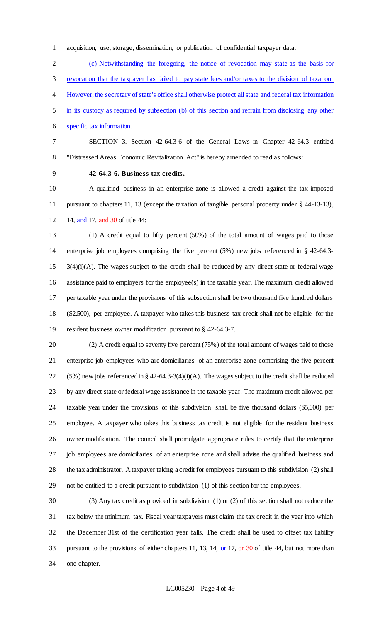acquisition, use, storage, dissemination, or publication of confidential taxpayer data.

 (c) Notwithstanding the foregoing, the notice of revocation may state as the basis for revocation that the taxpayer has failed to pay state fees and/or taxes to the division of taxation. However, the secretary of state's office shall otherwise protect all state and federal tax information in its custody as required by subsection (b) of this section and refrain from disclosing any other specific tax information.

 SECTION 3. Section 42-64.3-6 of the General Laws in Chapter 42-64.3 entitled "Distressed Areas Economic Revitalization Act" is hereby amended to read as follows:

**42-64.3-6. Business tax credits.**

 A qualified business in an enterprise zone is allowed a credit against the tax imposed pursuant to chapters 11, 13 (except the taxation of tangible personal property under § 44-13-13), 12 14, and 17, and 30 of title 44:

 (1) A credit equal to fifty percent (50%) of the total amount of wages paid to those enterprise job employees comprising the five percent (5%) new jobs referenced in § 42-64.3- 3(4)(i)(A). The wages subject to the credit shall be reduced by any direct state or federal wage assistance paid to employers for the employee(s) in the taxable year. The maximum credit allowed per taxable year under the provisions of this subsection shall be two thousand five hundred dollars (\$2,500), per employee. A taxpayer who takes this business tax credit shall not be eligible for the resident business owner modification pursuant to § 42-64.3-7.

 (2) A credit equal to seventy five percent (75%) of the total amount of wages paid to those enterprise job employees who are domiciliaries of an enterprise zone comprising the five percent 22 (5%) new jobs referenced in § 42-64.3-3(4)(i)(A). The wages subject to the credit shall be reduced by any direct state or federal wage assistance in the taxable year. The maximum credit allowed per taxable year under the provisions of this subdivision shall be five thousand dollars (\$5,000) per employee. A taxpayer who takes this business tax credit is not eligible for the resident business owner modification. The council shall promulgate appropriate rules to certify that the enterprise job employees are domiciliaries of an enterprise zone and shall advise the qualified business and the tax administrator. A taxpayer taking a credit for employees pursuant to this subdivision (2) shall not be entitled to a credit pursuant to subdivision (1) of this section for the employees.

 (3) Any tax credit as provided in subdivision (1) or (2) of this section shall not reduce the tax below the minimum tax. Fiscal year taxpayers must claim the tax credit in the year into which the December 31st of the certification year falls. The credit shall be used to offset tax liability 33 pursuant to the provisions of either chapters 11, 13, 14, or 17, or 30 of title 44, but not more than one chapter.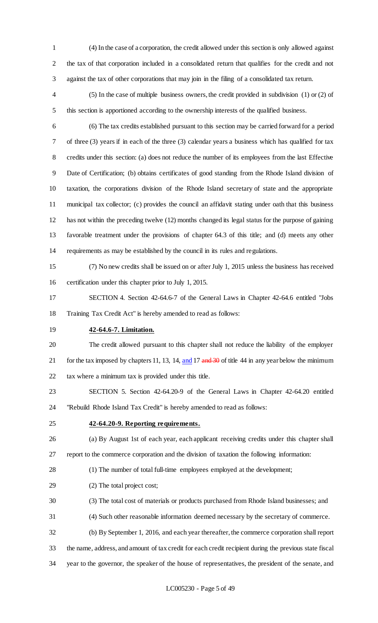- (4) In the case of a corporation, the credit allowed under this section is only allowed against the tax of that corporation included in a consolidated return that qualifies for the credit and not against the tax of other corporations that may join in the filing of a consolidated tax return.
- (5) In the case of multiple business owners, the credit provided in subdivision (1) or (2) of this section is apportioned according to the ownership interests of the qualified business.
- (6) The tax credits established pursuant to this section may be carried forward for a period of three (3) years if in each of the three (3) calendar years a business which has qualified for tax credits under this section: (a) does not reduce the number of its employees from the last Effective Date of Certification; (b) obtains certificates of good standing from the Rhode Island division of taxation, the corporations division of the Rhode Island secretary of state and the appropriate municipal tax collector; (c) provides the council an affidavit stating under oath that this business has not within the preceding twelve (12) months changed its legal status for the purpose of gaining favorable treatment under the provisions of chapter 64.3 of this title; and (d) meets any other requirements as may be established by the council in its rules and regulations.
- (7) No new credits shall be issued on or after July 1, 2015 unless the business has received certification under this chapter prior to July 1, 2015.
- SECTION 4. Section 42-64.6-7 of the General Laws in Chapter 42-64.6 entitled "Jobs Training Tax Credit Act" is hereby amended to read as follows:
- 

# **42-64.6-7. Limitation.**

- The credit allowed pursuant to this chapter shall not reduce the liability of the employer 21 for the tax imposed by chapters 11, 13, 14, and 17 and 30 of title 44 in any year below the minimum tax where a minimum tax is provided under this title.
- SECTION 5. Section 42-64.20-9 of the General Laws in Chapter 42-64.20 entitled "Rebuild Rhode Island Tax Credit" is hereby amended to read as follows:
- 

# **42-64.20-9. Reporting requirements.**

- (a) By August 1st of each year, each applicant receiving credits under this chapter shall report to the commerce corporation and the division of taxation the following information:
- (1) The number of total full-time employees employed at the development;
- (2) The total project cost;
- (3) The total cost of materials or products purchased from Rhode Island businesses; and
- (4) Such other reasonable information deemed necessary by the secretary of commerce.
- (b) By September 1, 2016, and each year thereafter, the commerce corporation shall report
- the name, address, and amount of tax credit for each credit recipient during the previous state fiscal
- year to the governor, the speaker of the house of representatives, the president of the senate, and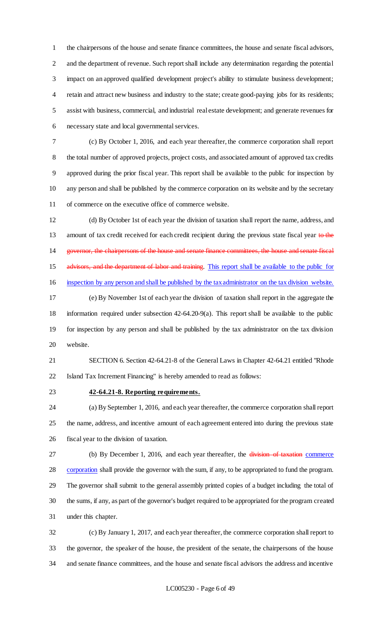the chairpersons of the house and senate finance committees, the house and senate fiscal advisors, and the department of revenue. Such report shall include any determination regarding the potential impact on an approved qualified development project's ability to stimulate business development; retain and attract new business and industry to the state; create good-paying jobs for its residents; assist with business, commercial, and industrial real estate development; and generate revenues for necessary state and local governmental services.

 (c) By October 1, 2016, and each year thereafter, the commerce corporation shall report the total number of approved projects, project costs, and associated amount of approved tax credits approved during the prior fiscal year. This report shall be available to the public for inspection by any person and shall be published by the commerce corporation on its website and by the secretary of commerce on the executive office of commerce website.

 (d) By October 1st of each year the division of taxation shall report the name, address, and 13 amount of tax credit received for each credit recipient during the previous state fiscal year to the governor, the chairpersons of the house and senate finance committees, the house and senate fiscal 15 advisors, and the department of labor and training. This report shall be available to the public for inspection by any person and shall be published by the tax administrator on the tax division website. (e) By November 1st of each year the division of taxation shall report in the aggregate the information required under subsection 42-64.20-9(a). This report shall be available to the public for inspection by any person and shall be published by the tax administrator on the tax division website.

 SECTION 6. Section 42-64.21-8 of the General Laws in Chapter 42-64.21 entitled "Rhode Island Tax Increment Financing" is hereby amended to read as follows:

### **42-64.21-8. Reporting requirements.**

 (a) By September 1, 2016, and each year thereafter, the commerce corporation shall report the name, address, and incentive amount of each agreement entered into during the previous state fiscal year to the division of taxation.

27 (b) By December 1, 2016, and each year thereafter, the division of taxation commerce 28 corporation shall provide the governor with the sum, if any, to be appropriated to fund the program. The governor shall submit to the general assembly printed copies of a budget including the total of the sums, if any, as part of the governor's budget required to be appropriated for the program created under this chapter.

 (c) By January 1, 2017, and each year thereafter, the commerce corporation shall report to the governor, the speaker of the house, the president of the senate, the chairpersons of the house and senate finance committees, and the house and senate fiscal advisors the address and incentive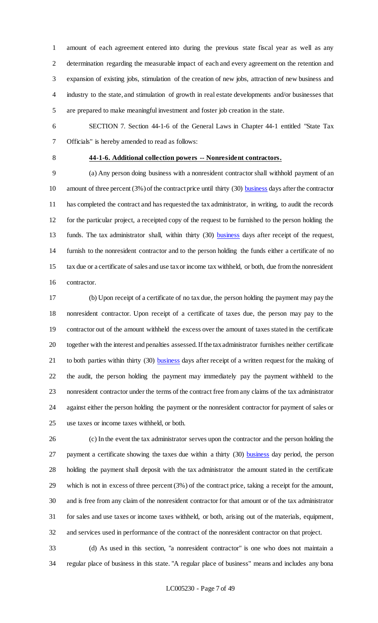amount of each agreement entered into during the previous state fiscal year as well as any determination regarding the measurable impact of each and every agreement on the retention and expansion of existing jobs, stimulation of the creation of new jobs, attraction of new business and industry to the state, and stimulation of growth in real estate developments and/or businesses that are prepared to make meaningful investment and foster job creation in the state.

 SECTION 7. Section 44-1-6 of the General Laws in Chapter 44-1 entitled "State Tax Officials" is hereby amended to read as follows:

# **44-1-6. Additional collection powers -- Nonresident contractors.**

 (a) Any person doing business with a nonresident contractor shall withhold payment of an 10 amount of three percent (3%) of the contract price until thirty (30) business days after the contractor has completed the contract and has requested the tax administrator, in writing, to audit the records for the particular project, a receipted copy of the request to be furnished to the person holding the 13 funds. The tax administrator shall, within thirty (30) business days after receipt of the request, furnish to the nonresident contractor and to the person holding the funds either a certificate of no tax due or a certificate of sales and use tax or income tax withheld, or both, due from the nonresident contractor.

 (b) Upon receipt of a certificate of no tax due, the person holding the payment may pay the nonresident contractor. Upon receipt of a certificate of taxes due, the person may pay to the contractor out of the amount withheld the excess over the amount of taxes stated in the certificate together with the interest and penalties assessed. If the tax administrator furnishes neither certificate 21 to both parties within thirty (30) **business** days after receipt of a written request for the making of the audit, the person holding the payment may immediately pay the payment withheld to the nonresident contractor under the terms of the contract free from any claims of the tax administrator against either the person holding the payment or the nonresident contractor for payment of sales or use taxes or income taxes withheld, or both.

 (c) In the event the tax administrator serves upon the contractor and the person holding the 27 payment a certificate showing the taxes due within a thirty (30) business day period, the person holding the payment shall deposit with the tax administrator the amount stated in the certificate which is not in excess of three percent (3%) of the contract price, taking a receipt for the amount, and is free from any claim of the nonresident contractor for that amount or of the tax administrator for sales and use taxes or income taxes withheld, or both, arising out of the materials, equipment, and services used in performance of the contract of the nonresident contractor on that project.

 (d) As used in this section, "a nonresident contractor" is one who does not maintain a regular place of business in this state. "A regular place of business" means and includes any bona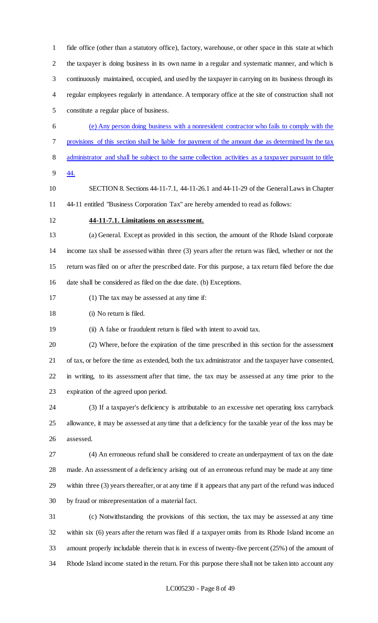fide office (other than a statutory office), factory, warehouse, or other space in this state at which the taxpayer is doing business in its own name in a regular and systematic manner, and which is continuously maintained, occupied, and used by the taxpayer in carrying on its business through its regular employees regularly in attendance. A temporary office at the site of construction shall not constitute a regular place of business.

- (e) Any person doing business with a nonresident contractor who fails to comply with the provisions of this section shall be liable for payment of the amount due as determined by the tax 8 administrator and shall be subject to the same collection activities as a taxpayer pursuant to title
- 44.
- SECTION 8. Sections 44-11-7.1, 44-11-26.1 and 44-11-29 of the General Laws in Chapter 44-11 entitled "Business Corporation Tax" are hereby amended to read as follows:
- **44-11-7.1. Limitations on assessment.**
- (a) General. Except as provided in this section, the amount of the Rhode Island corporate income tax shall be assessed within three (3) years after the return was filed, whether or not the return was filed on or after the prescribed date. For this purpose, a tax return filed before the due date shall be considered as filed on the due date. (b) Exceptions.
- (1) The tax may be assessed at any time if:

18 (i) No return is filed.

(ii) A false or fraudulent return is filed with intent to avoid tax.

 (2) Where, before the expiration of the time prescribed in this section for the assessment of tax, or before the time as extended, both the tax administrator and the taxpayer have consented, in writing, to its assessment after that time, the tax may be assessed at any time prior to the expiration of the agreed upon period.

 (3) If a taxpayer's deficiency is attributable to an excessive net operating loss carryback allowance, it may be assessed at any time that a deficiency for the taxable year of the loss may be assessed.

 (4) An erroneous refund shall be considered to create an underpayment of tax on the date made. An assessment of a deficiency arising out of an erroneous refund may be made at any time within three (3) years thereafter, or at any time if it appears that any part of the refund was induced by fraud or misrepresentation of a material fact.

 (c) Notwithstanding the provisions of this section, the tax may be assessed at any time within six (6) years after the return was filed if a taxpayer omits from its Rhode Island income an amount properly includable therein that is in excess of twenty-five percent (25%) of the amount of Rhode Island income stated in the return. For this purpose there shall not be taken into account any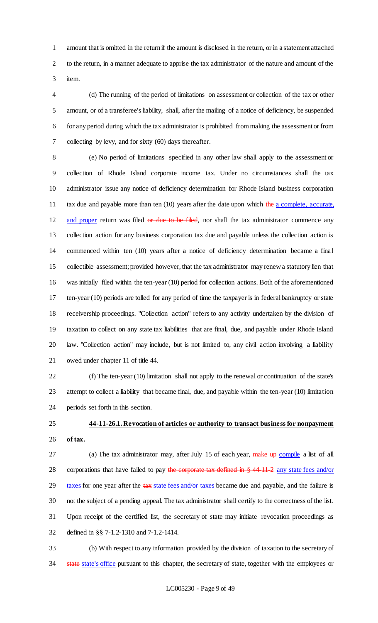amount that is omitted in the return if the amount is disclosed in the return, or in a statement attached to the return, in a manner adequate to apprise the tax administrator of the nature and amount of the item.

 (d) The running of the period of limitations on assessment or collection of the tax or other amount, or of a transferee's liability, shall, after the mailing of a notice of deficiency, be suspended for any period during which the tax administrator is prohibited from making the assessment or from collecting by levy, and for sixty (60) days thereafter.

 (e) No period of limitations specified in any other law shall apply to the assessment or collection of Rhode Island corporate income tax. Under no circumstances shall the tax administrator issue any notice of deficiency determination for Rhode Island business corporation 11 tax due and payable more than ten (10) years after the date upon which the a complete, accurate, 12 and proper return was filed or due to be filed, nor shall the tax administrator commence any collection action for any business corporation tax due and payable unless the collection action is commenced within ten (10) years after a notice of deficiency determination became a final collectible assessment; provided however, that the tax administrator may renew a statutory lien that was initially filed within the ten-year (10) period for collection actions. Both of the aforementioned ten-year (10) periods are tolled for any period of time the taxpayer is in federal bankruptcy or state receivership proceedings. "Collection action" refers to any activity undertaken by the division of taxation to collect on any state tax liabilities that are final, due, and payable under Rhode Island law. "Collection action" may include, but is not limited to, any civil action involving a liability owed under chapter 11 of title 44.

 (f) The ten-year (10) limitation shall not apply to the renewal or continuation of the state's attempt to collect a liability that became final, due, and payable within the ten-year (10) limitation periods set forth in this section.

 **44-11-26.1. Revocation of articles or authority to transact business for nonpayment of tax.**

27 (a) The tax administrator may, after July 15 of each year, make up compile a list of all 28 corporations that have failed to pay the corporate tax defined in § 44-11-2 any state fees and/or 29 taxes for one year after the tax state fees and/or taxes became due and payable, and the failure is not the subject of a pending appeal. The tax administrator shall certify to the correctness of the list. Upon receipt of the certified list, the secretary of state may initiate revocation proceedings as defined in §§ 7-1.2-1310 and 7-1.2-1414.

 (b) With respect to any information provided by the division of taxation to the secretary of 34 state state's office pursuant to this chapter, the secretary of state, together with the employees or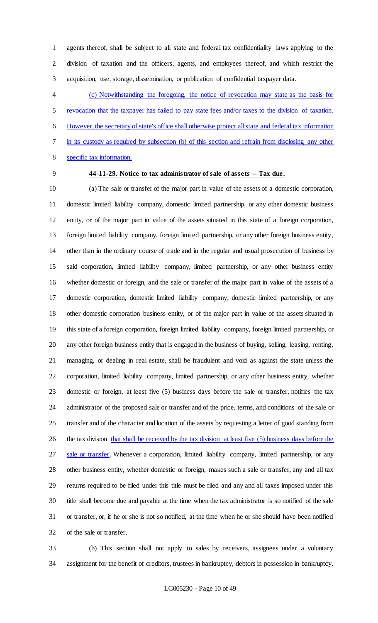agents thereof, shall be subject to all state and federal tax confidentiality laws applying to the division of taxation and the officers, agents, and employees thereof, and which restrict the acquisition, use, storage, dissemination, or publication of confidential taxpayer data.

 (c) Notwithstanding the foregoing, the notice of revocation may state as the basis for revocation that the taxpayer has failed to pay state fees and/or taxes to the division of taxation. However, the secretary of state's office shall otherwise protect all state and federal tax information in its custody as required by subsection (b) of this section and refrain from disclosing any other specific tax information.

# **44-11-29. Notice to tax administrator of sale of assets -- Tax due.**

 (a) The sale or transfer of the major part in value of the assets of a domestic corporation, domestic limited liability company, domestic limited partnership, or any other domestic business entity, or of the major part in value of the assets situated in this state of a foreign corporation, foreign limited liability company, foreign limited partnership, or any other foreign business entity, other than in the ordinary course of trade and in the regular and usual prosecution of business by said corporation, limited liability company, limited partnership, or any other business entity whether domestic or foreign, and the sale or transfer of the major part in value of the assets of a domestic corporation, domestic limited liability company, domestic limited partnership, or any other domestic corporation business entity, or of the major part in value of the assets situated in this state of a foreign corporation, foreign limited liability company, foreign limited partnership, or any other foreign business entity that is engaged in the business of buying, selling, leasing, renting, managing, or dealing in real estate, shall be fraudulent and void as against the state unless the corporation, limited liability company, limited partnership, or any other business entity, whether domestic or foreign, at least five (5) business days before the sale or transfer, notifies the tax administrator of the proposed sale or transfer and of the price, terms, and conditions of the sale or transfer and of the character and location of the assets by requesting a letter of good standing from 26 the tax division that shall be received by the tax division at least five (5) business days before the 27 sale or transfer. Whenever a corporation, limited liability company, limited partnership, or any other business entity, whether domestic or foreign, makes such a sale or transfer, any and all tax returns required to be filed under this title must be filed and any and all taxes imposed under this title shall become due and payable at the time when the tax administrator is so notified of the sale or transfer, or, if he or she is not so notified, at the time when he or she should have been notified of the sale or transfer.

 (b) This section shall not apply to sales by receivers, assignees under a voluntary assignment for the benefit of creditors, trustees in bankruptcy, debtors in possession in bankruptcy,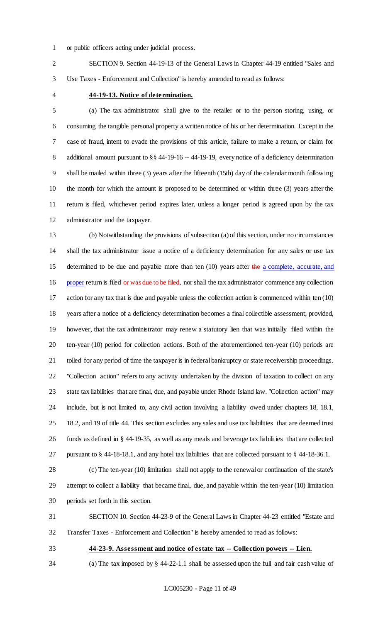or public officers acting under judicial process.

 SECTION 9. Section 44-19-13 of the General Laws in Chapter 44-19 entitled "Sales and Use Taxes - Enforcement and Collection" is hereby amended to read as follows:

### **44-19-13. Notice of determination.**

 (a) The tax administrator shall give to the retailer or to the person storing, using, or consuming the tangible personal property a written notice of his or her determination. Except in the case of fraud, intent to evade the provisions of this article, failure to make a return, or claim for 8 additional amount pursuant to §§ 44-19-16 -- 44-19-19, every notice of a deficiency determination shall be mailed within three (3) years after the fifteenth (15th) day of the calendar month following the month for which the amount is proposed to be determined or within three (3) years after the return is filed, whichever period expires later, unless a longer period is agreed upon by the tax administrator and the taxpayer.

 (b) Notwithstanding the provisions of subsection (a) of this section, under no circumstances shall the tax administrator issue a notice of a deficiency determination for any sales or use tax 15 determined to be due and payable more than ten (10) years after the a complete, accurate, and 16 proper return is filed or was due to be filed, nor shall the tax administrator commence any collection action for any tax that is due and payable unless the collection action is commenced within ten (10) years after a notice of a deficiency determination becomes a final collectible assessment; provided, however, that the tax administrator may renew a statutory lien that was initially filed within the ten-year (10) period for collection actions. Both of the aforementioned ten-year (10) periods are tolled for any period of time the taxpayer is in federal bankruptcy or state receivership proceedings. "Collection action" refers to any activity undertaken by the division of taxation to collect on any state tax liabilities that are final, due, and payable under Rhode Island law. "Collection action" may include, but is not limited to, any civil action involving a liability owed under chapters 18, 18.1, 18.2, and 19 of title 44. This section excludes any sales and use tax liabilities that are deemed trust funds as defined in § 44-19-35, as well as any meals and beverage tax liabilities that are collected pursuant to § 44-18-18.1, and any hotel tax liabilities that are collected pursuant to § 44-18-36.1.

 (c) The ten-year (10) limitation shall not apply to the renewal or continuation of the state's attempt to collect a liability that became final, due, and payable within the ten-year (10) limitation periods set forth in this section.

 SECTION 10. Section 44-23-9 of the General Laws in Chapter 44-23 entitled "Estate and Transfer Taxes - Enforcement and Collection" is hereby amended to read as follows:

### **44-23-9. Assessment and notice of estate tax -- Collection powers -- Lien.**

(a) The tax imposed by § 44-22-1.1 shall be assessed upon the full and fair cash value of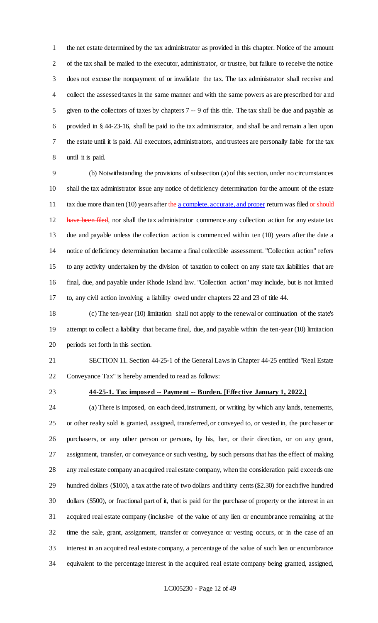the net estate determined by the tax administrator as provided in this chapter. Notice of the amount of the tax shall be mailed to the executor, administrator, or trustee, but failure to receive the notice does not excuse the nonpayment of or invalidate the tax. The tax administrator shall receive and collect the assessed taxes in the same manner and with the same powers as are prescribed for and given to the collectors of taxes by chapters 7 -- 9 of this title. The tax shall be due and payable as provided in § 44-23-16, shall be paid to the tax administrator, and shall be and remain a lien upon the estate until it is paid. All executors, administrators, and trustees are personally liable for the tax until it is paid.

 (b) Notwithstanding the provisions of subsection (a) of this section, under no circumstances shall the tax administrator issue any notice of deficiency determination for the amount of the estate 11 tax due more than ten (10) years after the a complete, accurate, and proper return was filed or should 12 have been filed, nor shall the tax administrator commence any collection action for any estate tax due and payable unless the collection action is commenced within ten (10) years after the date a notice of deficiency determination became a final collectible assessment. "Collection action" refers to any activity undertaken by the division of taxation to collect on any state tax liabilities that are final, due, and payable under Rhode Island law. "Collection action" may include, but is not limited to, any civil action involving a liability owed under chapters 22 and 23 of title 44.

 (c) The ten-year (10) limitation shall not apply to the renewal or continuation of the state's attempt to collect a liability that became final, due, and payable within the ten-year (10) limitation periods set forth in this section.

 SECTION 11. Section 44-25-1 of the General Laws in Chapter 44-25 entitled "Real Estate Conveyance Tax" is hereby amended to read as follows:

#### **44-25-1. Tax imposed -- Payment -- Burden. [Effective January 1, 2022.]**

 (a) There is imposed, on each deed, instrument, or writing by which any lands, tenements, or other realty sold is granted, assigned, transferred, or conveyed to, or vested in, the purchaser or purchasers, or any other person or persons, by his, her, or their direction, or on any grant, assignment, transfer, or conveyance or such vesting, by such persons that has the effect of making any real estate company an acquired real estate company, when the consideration paid exceeds one hundred dollars (\$100), a tax at the rate of two dollars and thirty cents (\$2.30) for each five hundred dollars (\$500), or fractional part of it, that is paid for the purchase of property or the interest in an acquired real estate company (inclusive of the value of any lien or encumbrance remaining at the time the sale, grant, assignment, transfer or conveyance or vesting occurs, or in the case of an interest in an acquired real estate company, a percentage of the value of such lien or encumbrance equivalent to the percentage interest in the acquired real estate company being granted, assigned,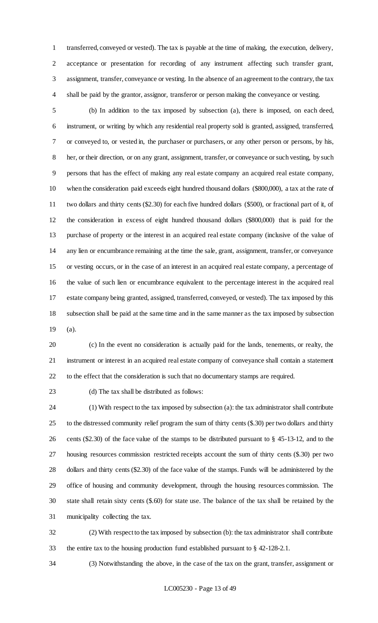transferred, conveyed or vested). The tax is payable at the time of making, the execution, delivery, acceptance or presentation for recording of any instrument affecting such transfer grant, assignment, transfer, conveyance or vesting. In the absence of an agreement to the contrary, the tax shall be paid by the grantor, assignor, transferor or person making the conveyance or vesting.

 (b) In addition to the tax imposed by subsection (a), there is imposed, on each deed, instrument, or writing by which any residential real property sold is granted, assigned, transferred, or conveyed to, or vested in, the purchaser or purchasers, or any other person or persons, by his, her, or their direction, or on any grant, assignment, transfer, or conveyance or such vesting, by such persons that has the effect of making any real estate company an acquired real estate company, when the consideration paid exceeds eight hundred thousand dollars (\$800,000), a tax at the rate of two dollars and thirty cents (\$2.30) for each five hundred dollars (\$500), or fractional part of it, of the consideration in excess of eight hundred thousand dollars (\$800,000) that is paid for the purchase of property or the interest in an acquired real estate company (inclusive of the value of any lien or encumbrance remaining at the time the sale, grant, assignment, transfer, or conveyance or vesting occurs, or in the case of an interest in an acquired real estate company, a percentage of the value of such lien or encumbrance equivalent to the percentage interest in the acquired real estate company being granted, assigned, transferred, conveyed, or vested). The tax imposed by this subsection shall be paid at the same time and in the same manner as the tax imposed by subsection (a).

 (c) In the event no consideration is actually paid for the lands, tenements, or realty, the instrument or interest in an acquired real estate company of conveyance shall contain a statement to the effect that the consideration is such that no documentary stamps are required.

(d) The tax shall be distributed as follows:

 (1) With respect to the tax imposed by subsection (a): the tax administrator shall contribute to the distressed community relief program the sum of thirty cents (\$.30) per two dollars and thirty cents (\$2.30) of the face value of the stamps to be distributed pursuant to § 45-13-12, and to the housing resources commission restricted receipts account the sum of thirty cents (\$.30) per two dollars and thirty cents (\$2.30) of the face value of the stamps. Funds will be administered by the office of housing and community development, through the housing resources commission. The state shall retain sixty cents (\$.60) for state use. The balance of the tax shall be retained by the municipality collecting the tax.

 (2) With respect to the tax imposed by subsection (b): the tax administrator shall contribute the entire tax to the housing production fund established pursuant to § 42-128-2.1.

(3) Notwithstanding the above, in the case of the tax on the grant, transfer, assignment or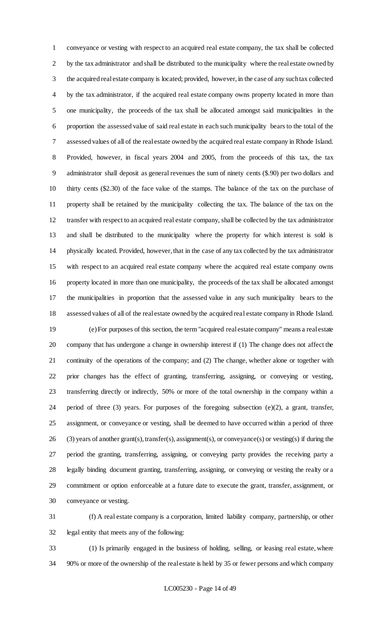conveyance or vesting with respect to an acquired real estate company, the tax shall be collected by the tax administrator and shall be distributed to the municipality where the real estate owned by the acquired real estate company is located; provided, however, in the case of any such tax collected by the tax administrator, if the acquired real estate company owns property located in more than one municipality, the proceeds of the tax shall be allocated amongst said municipalities in the proportion the assessed value of said real estate in each such municipality bears to the total of the assessed values of all of the real estate owned by the acquired real estate company in Rhode Island. Provided, however, in fiscal years 2004 and 2005, from the proceeds of this tax, the tax administrator shall deposit as general revenues the sum of ninety cents (\$.90) per two dollars and thirty cents (\$2.30) of the face value of the stamps. The balance of the tax on the purchase of property shall be retained by the municipality collecting the tax. The balance of the tax on the transfer with respect to an acquired real estate company, shall be collected by the tax administrator and shall be distributed to the municipality where the property for which interest is sold is physically located. Provided, however, that in the case of any tax collected by the tax administrator with respect to an acquired real estate company where the acquired real estate company owns property located in more than one municipality, the proceeds of the tax shall be allocated amongst the municipalities in proportion that the assessed value in any such municipality bears to the assessed values of all of the real estate owned by the acquired real estate company in Rhode Island. (e) For purposes of this section, the term "acquired real estate company" means a real estate

 company that has undergone a change in ownership interest if (1) The change does not affect the continuity of the operations of the company; and (2) The change, whether alone or together with prior changes has the effect of granting, transferring, assigning, or conveying or vesting, transferring directly or indirectly, 50% or more of the total ownership in the company within a period of three (3) years. For purposes of the foregoing subsection (e)(2), a grant, transfer, assignment, or conveyance or vesting, shall be deemed to have occurred within a period of three (3) years of another grant(s), transfer(s), assignment(s), or conveyance(s) or vesting(s) if during the period the granting, transferring, assigning, or conveying party provides the receiving party a legally binding document granting, transferring, assigning, or conveying or vesting the realty or a commitment or option enforceable at a future date to execute the grant, transfer, assignment, or conveyance or vesting.

 (f) A real estate company is a corporation, limited liability company, partnership, or other legal entity that meets any of the following:

 (1) Is primarily engaged in the business of holding, selling, or leasing real estate, where 90% or more of the ownership of the real estate is held by 35 or fewer persons and which company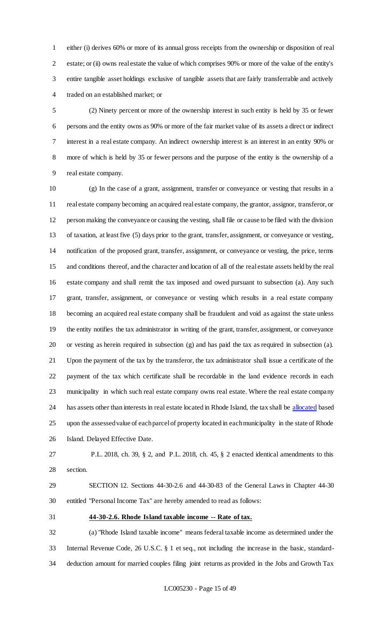either (i) derives 60% or more of its annual gross receipts from the ownership or disposition of real estate; or (ii) owns real estate the value of which comprises 90% or more of the value of the entity's entire tangible asset holdings exclusive of tangible assets that are fairly transferrable and actively traded on an established market; or

 (2) Ninety percent or more of the ownership interest in such entity is held by 35 or fewer persons and the entity owns as 90% or more of the fair market value of its assets a direct or indirect interest in a real estate company. An indirect ownership interest is an interest in an entity 90% or more of which is held by 35 or fewer persons and the purpose of the entity is the ownership of a real estate company.

 (g) In the case of a grant, assignment, transfer or conveyance or vesting that results in a real estate company becoming an acquired real estate company, the grantor, assignor, transferor, or person making the conveyance or causing the vesting, shall file or cause to be filed with the division of taxation, at least five (5) days prior to the grant, transfer, assignment, or conveyance or vesting, notification of the proposed grant, transfer, assignment, or conveyance or vesting, the price, terms and conditions thereof, and the character and location of all of the real estate assets held by the real estate company and shall remit the tax imposed and owed pursuant to subsection (a). Any such grant, transfer, assignment, or conveyance or vesting which results in a real estate company becoming an acquired real estate company shall be fraudulent and void as against the state unless the entity notifies the tax administrator in writing of the grant, transfer, assignment, or conveyance or vesting as herein required in subsection (g) and has paid the tax as required in subsection (a). Upon the payment of the tax by the transferor, the tax administrator shall issue a certificate of the payment of the tax which certificate shall be recordable in the land evidence records in each municipality in which such real estate company owns real estate. Where the real estate company has assets other than interests in real estate located in Rhode Island, the tax shall be allocated based upon the assessed value of each parcel of property located in each municipality in the state of Rhode Island. Delayed Effective Date.

 P.L. 2018, ch. 39, § 2, and P.L. 2018, ch. 45, § 2 enacted identical amendments to this section.

 SECTION 12. Sections 44-30-2.6 and 44-30-83 of the General Laws in Chapter 44-30 entitled "Personal Income Tax" are hereby amended to read as follows:

**44-30-2.6. Rhode Island taxable income -- Rate of tax.**

 (a) "Rhode Island taxable income" means federal taxable income as determined under the Internal Revenue Code, 26 U.S.C. § 1 et seq., not including the increase in the basic, standard-deduction amount for married couples filing joint returns as provided in the Jobs and Growth Tax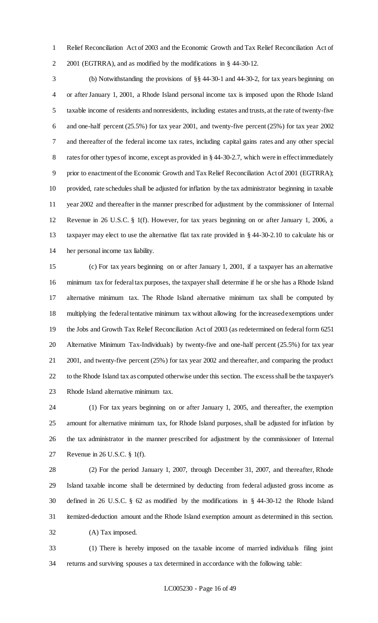Relief Reconciliation Act of 2003 and the Economic Growth and Tax Relief Reconciliation Act of 2001 (EGTRRA), and as modified by the modifications in § 44-30-12.

 (b) Notwithstanding the provisions of §§ 44-30-1 and 44-30-2, for tax years beginning on or after January 1, 2001, a Rhode Island personal income tax is imposed upon the Rhode Island taxable income of residents and nonresidents, including estates and trusts, at the rate of twenty-five and one-half percent (25.5%) for tax year 2001, and twenty-five percent (25%) for tax year 2002 and thereafter of the federal income tax rates, including capital gains rates and any other special rates for other types of income, except as provided in § 44-30-2.7, which were in effect immediately 9 prior to enactment of the Economic Growth and Tax Relief Reconciliation Act of 2001 (EGTRRA); provided, rate schedules shall be adjusted for inflation by the tax administrator beginning in taxable year 2002 and thereafter in the manner prescribed for adjustment by the commissioner of Internal Revenue in 26 U.S.C. § 1(f). However, for tax years beginning on or after January 1, 2006, a taxpayer may elect to use the alternative flat tax rate provided in § 44-30-2.10 to calculate his or her personal income tax liability.

 (c) For tax years beginning on or after January 1, 2001, if a taxpayer has an alternative minimum tax for federal tax purposes, the taxpayer shall determine if he or she has a Rhode Island alternative minimum tax. The Rhode Island alternative minimum tax shall be computed by multiplying the federal tentative minimum tax without allowing for the increased exemptions under the Jobs and Growth Tax Relief Reconciliation Act of 2003 (as redetermined on federal form 6251 Alternative Minimum Tax-Individuals) by twenty-five and one-half percent (25.5%) for tax year 2001, and twenty-five percent (25%) for tax year 2002 and thereafter, and comparing the product to the Rhode Island tax as computed otherwise under this section. The excess shall be the taxpayer's Rhode Island alternative minimum tax.

 (1) For tax years beginning on or after January 1, 2005, and thereafter, the exemption amount for alternative minimum tax, for Rhode Island purposes, shall be adjusted for inflation by the tax administrator in the manner prescribed for adjustment by the commissioner of Internal Revenue in 26 U.S.C. § 1(f).

 (2) For the period January 1, 2007, through December 31, 2007, and thereafter, Rhode Island taxable income shall be determined by deducting from federal adjusted gross income as defined in 26 U.S.C. § 62 as modified by the modifications in § 44-30-12 the Rhode Island itemized-deduction amount and the Rhode Island exemption amount as determined in this section. (A) Tax imposed.

 (1) There is hereby imposed on the taxable income of married individuals filing joint returns and surviving spouses a tax determined in accordance with the following table: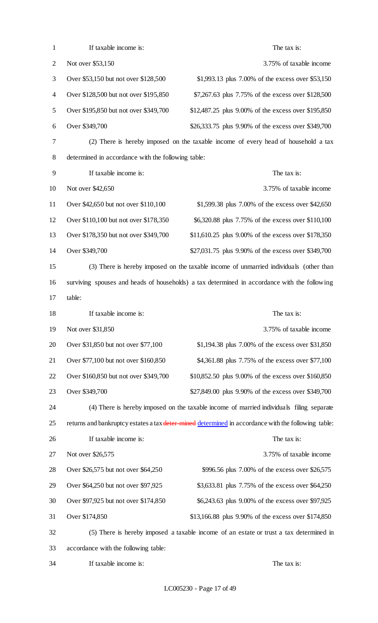| $\mathbf{1}$   | If taxable income is:                              | The tax is:                                                                                         |
|----------------|----------------------------------------------------|-----------------------------------------------------------------------------------------------------|
| $\overline{2}$ | Not over \$53,150                                  | 3.75% of taxable income                                                                             |
| 3              | Over \$53,150 but not over \$128,500               | \$1,993.13 plus 7.00% of the excess over \$53,150                                                   |
| 4              | Over \$128,500 but not over \$195,850              | \$7,267.63 plus 7.75% of the excess over \$128,500                                                  |
| 5              | Over \$195,850 but not over \$349,700              | \$12,487.25 plus 9.00% of the excess over \$195,850                                                 |
| 6              | Over \$349,700                                     | \$26,333.75 plus 9.90% of the excess over \$349,700                                                 |
| 7              |                                                    | (2) There is hereby imposed on the taxable income of every head of household a tax                  |
| 8              | determined in accordance with the following table: |                                                                                                     |
| 9              | If taxable income is:                              | The tax is:                                                                                         |
| 10             | Not over \$42,650                                  | 3.75% of taxable income                                                                             |
| 11             | Over \$42,650 but not over \$110,100               | \$1,599.38 plus 7.00% of the excess over \$42,650                                                   |
| 12             | Over \$110,100 but not over \$178,350              | \$6,320.88 plus 7.75% of the excess over \$110,100                                                  |
| 13             | Over \$178,350 but not over \$349,700              | \$11,610.25 plus 9.00% of the excess over \$178,350                                                 |
| 14             | Over \$349,700                                     | \$27,031.75 plus 9.90% of the excess over \$349,700                                                 |
| 15             |                                                    | (3) There is hereby imposed on the taxable income of unmarried individuals (other than              |
| 16             |                                                    | surviving spouses and heads of households) a tax determined in accordance with the following        |
| 17             | table:                                             |                                                                                                     |
|                |                                                    |                                                                                                     |
|                | If taxable income is:                              | The tax is:                                                                                         |
| 18<br>19       | Not over \$31,850                                  | 3.75% of taxable income                                                                             |
| 20             | Over \$31,850 but not over \$77,100                | \$1,194.38 plus 7.00% of the excess over \$31,850                                                   |
| 21             | Over \$77,100 but not over \$160,850               | \$4,361.88 plus 7.75% of the excess over \$77,100                                                   |
| 22             | Over \$160,850 but not over \$349,700              | \$10,852.50 plus 9.00% of the excess over \$160,850                                                 |
|                | Over \$349,700                                     | \$27,849.00 plus 9.90% of the excess over \$349,700                                                 |
| 23<br>24       |                                                    | (4) There is hereby imposed on the taxable income of married individuals filing separate            |
| 25             |                                                    | returns and bankruptcy estates a tax deter-mined determined in accordance with the following table: |
|                | If taxable income is:                              | The tax is:                                                                                         |
|                | Not over \$26,575                                  | 3.75% of taxable income                                                                             |
| 26<br>27<br>28 | Over \$26,575 but not over \$64,250                | \$996.56 plus 7.00% of the excess over \$26,575                                                     |
|                | Over \$64,250 but not over \$97,925                | \$3,633.81 plus 7.75% of the excess over \$64,250                                                   |
| 29<br>30       | Over \$97,925 but not over \$174,850               | \$6,243.63 plus 9.00% of the excess over \$97,925                                                   |
|                | Over \$174,850                                     | \$13,166.88 plus 9.90% of the excess over \$174,850                                                 |
| 31<br>32       |                                                    | (5) There is hereby imposed a taxable income of an estate or trust a tax determined in              |
| 33             | accordance with the following table:               |                                                                                                     |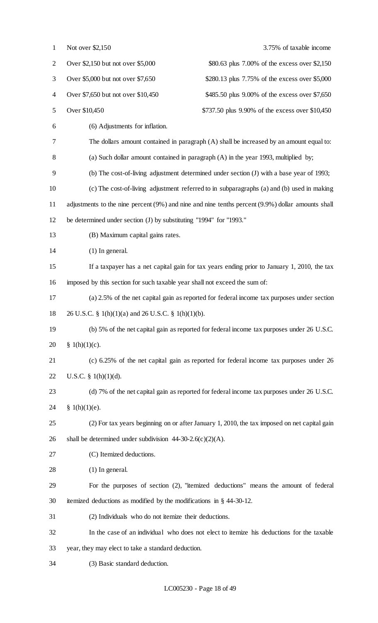| $\mathbf{1}$   | Not over \$2,150<br>3.75% of taxable income                                                       |  |
|----------------|---------------------------------------------------------------------------------------------------|--|
| $\overline{2}$ | Over \$2,150 but not over \$5,000<br>\$80.63 plus 7.00% of the excess over \$2,150                |  |
| 3              | Over \$5,000 but not over \$7,650<br>\$280.13 plus 7.75% of the excess over \$5,000               |  |
| 4              | Over \$7,650 but not over \$10,450<br>\$485.50 plus 9.00% of the excess over \$7,650              |  |
| 5              | Over \$10,450<br>\$737.50 plus 9.90% of the excess over \$10,450                                  |  |
| 6              | (6) Adjustments for inflation.                                                                    |  |
| 7              | The dollars amount contained in paragraph (A) shall be increased by an amount equal to:           |  |
| 8              | (a) Such dollar amount contained in paragraph (A) in the year 1993, multiplied by;                |  |
| 9              | (b) The cost-of-living adjustment determined under section (J) with a base year of 1993;          |  |
| 10             | (c) The cost-of-living adjustment referred to in subparagraphs (a) and (b) used in making         |  |
| 11             | adjustments to the nine percent (9%) and nine and nine tenths percent (9.9%) dollar amounts shall |  |
| 12             | be determined under section (J) by substituting "1994" for "1993."                                |  |
| 13             | (B) Maximum capital gains rates.                                                                  |  |
| 14             | $(1)$ In general.                                                                                 |  |
| 15             | If a taxpayer has a net capital gain for tax years ending prior to January 1, 2010, the tax       |  |
| 16             | imposed by this section for such taxable year shall not exceed the sum of:                        |  |
| 17             | (a) 2.5% of the net capital gain as reported for federal income tax purposes under section        |  |
| 18             | 26 U.S.C. § 1(h)(1)(a) and 26 U.S.C. § 1(h)(1)(b).                                                |  |
| 19             | (b) 5% of the net capital gain as reported for federal income tax purposes under 26 U.S.C.        |  |
| 20             | § $1(h)(1)(c)$ .                                                                                  |  |
| 21             | (c) 6.25% of the net capital gain as reported for federal income tax purposes under 26            |  |
| 22             | U.S.C. $\S$ 1(h)(1)(d).                                                                           |  |
| 23             | (d) 7% of the net capital gain as reported for federal income tax purposes under 26 U.S.C.        |  |
| 24             | § 1(h)(1)(e).                                                                                     |  |
| 25             | (2) For tax years beginning on or after January 1, 2010, the tax imposed on net capital gain      |  |
| 26             | shall be determined under subdivision $44-30-2.6(c)(2)(A)$ .                                      |  |
| 27             | (C) Itemized deductions.                                                                          |  |
| 28             | $(1)$ In general.                                                                                 |  |
| 29             | For the purposes of section (2), "itemized deductions" means the amount of federal                |  |
| 30             | itemized deductions as modified by the modifications in $\S$ 44-30-12.                            |  |
| 31             | (2) Individuals who do not itemize their deductions.                                              |  |
| 32             | In the case of an individual who does not elect to itemize his deductions for the taxable         |  |
| 33             | year, they may elect to take a standard deduction.                                                |  |
| 34             | (3) Basic standard deduction.                                                                     |  |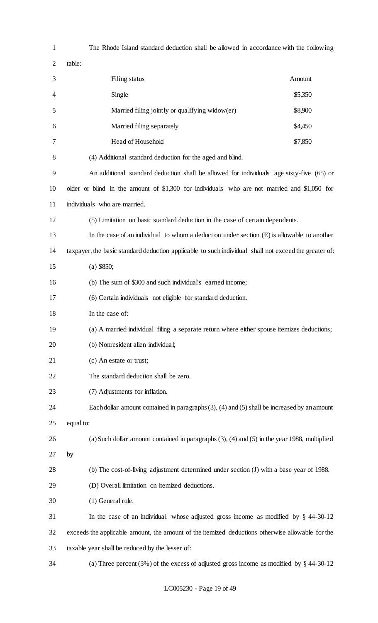| $\mathbf{1}$ | The Rhode Island standard deduction shall be allowed in accordance with the following                 |         |  |
|--------------|-------------------------------------------------------------------------------------------------------|---------|--|
| 2            | table:                                                                                                |         |  |
| 3            | Filing status                                                                                         | Amount  |  |
| 4            | Single                                                                                                | \$5,350 |  |
| 5            | Married filing jointly or qualifying widow(er)                                                        | \$8,900 |  |
| 6            | Married filing separately                                                                             | \$4,450 |  |
| 7            | Head of Household                                                                                     | \$7,850 |  |
| 8            | (4) Additional standard deduction for the aged and blind.                                             |         |  |
| 9            | An additional standard deduction shall be allowed for individuals age sixty-five (65) or              |         |  |
| 10           | older or blind in the amount of \$1,300 for individuals who are not married and \$1,050 for           |         |  |
| 11           | individuals who are married.                                                                          |         |  |
| 12           | (5) Limitation on basic standard deduction in the case of certain dependents.                         |         |  |
| 13           | In the case of an individual to whom a deduction under section $(E)$ is allowable to another          |         |  |
| 14           | taxpayer, the basic standard deduction applicable to such individual shall not exceed the greater of: |         |  |
| 15           | $(a)$ \$850;                                                                                          |         |  |
| 16           | (b) The sum of \$300 and such individual's earned income;                                             |         |  |
| 17           | (6) Certain individuals not eligible for standard deduction.                                          |         |  |
| 18           | In the case of:                                                                                       |         |  |
| 19           | (a) A married individual filing a separate return where either spouse itemizes deductions;            |         |  |
| 20           | (b) Nonresident alien individual;                                                                     |         |  |
| 21           | (c) An estate or trust;                                                                               |         |  |
| 22           | The standard deduction shall be zero.                                                                 |         |  |
| 23           | (7) Adjustments for inflation.                                                                        |         |  |
| 24           | Each dollar amount contained in paragraphs $(3)$ , $(4)$ and $(5)$ shall be increased by an amount    |         |  |
| 25           | equal to:                                                                                             |         |  |
| 26           | (a) Such dollar amount contained in paragraphs $(3)$ , $(4)$ and $(5)$ in the year 1988, multiplied   |         |  |
| 27           | by                                                                                                    |         |  |
| 28           | (b) The cost-of-living adjustment determined under section (J) with a base year of 1988.              |         |  |
| 29           | (D) Overall limitation on itemized deductions.                                                        |         |  |
| 30           | (1) General rule.                                                                                     |         |  |
| 31           | In the case of an individual whose adjusted gross income as modified by $\S$ 44-30-12                 |         |  |
| 32           | exceeds the applicable amount, the amount of the itemized deductions otherwise allowable for the      |         |  |
| 33           | taxable year shall be reduced by the lesser of:                                                       |         |  |
| 34           | (a) Three percent $(3\%)$ of the excess of adjusted gross income as modified by § 44-30-12            |         |  |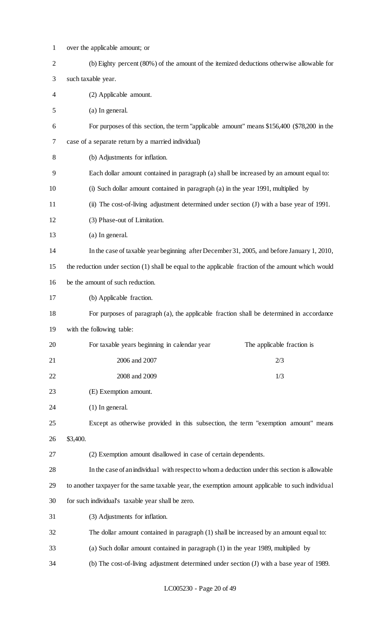| $\mathbf{1}$   | over the applicable amount; or                                                                      |  |
|----------------|-----------------------------------------------------------------------------------------------------|--|
| $\overline{2}$ | (b) Eighty percent (80%) of the amount of the itemized deductions otherwise allowable for           |  |
| 3              | such taxable year.                                                                                  |  |
| 4              | (2) Applicable amount.                                                                              |  |
| 5              | (a) In general.                                                                                     |  |
| 6              | For purposes of this section, the term "applicable amount" means \$156,400 (\$78,200 in the         |  |
| 7              | case of a separate return by a married individual)                                                  |  |
| 8              | (b) Adjustments for inflation.                                                                      |  |
| 9              | Each dollar amount contained in paragraph (a) shall be increased by an amount equal to:             |  |
| 10             | (i) Such dollar amount contained in paragraph (a) in the year 1991, multiplied by                   |  |
| 11             | (ii) The cost-of-living adjustment determined under section (J) with a base year of 1991.           |  |
| 12             | (3) Phase-out of Limitation.                                                                        |  |
| 13             | (a) In general.                                                                                     |  |
| 14             | In the case of taxable year beginning after December 31, 2005, and before January 1, 2010,          |  |
| 15             | the reduction under section (1) shall be equal to the applicable fraction of the amount which would |  |
| 16             | be the amount of such reduction.                                                                    |  |
| 17             | (b) Applicable fraction.                                                                            |  |
| 18             | For purposes of paragraph (a), the applicable fraction shall be determined in accordance            |  |
| 19             | with the following table:                                                                           |  |
| 20             | For taxable years beginning in calendar year<br>The applicable fraction is                          |  |
| 21             | 2006 and 2007<br>2/3                                                                                |  |
| 22             | 2008 and 2009<br>1/3                                                                                |  |
| 23             | (E) Exemption amount.                                                                               |  |
| 24             | $(1)$ In general.                                                                                   |  |
| 25             | Except as otherwise provided in this subsection, the term "exemption amount" means                  |  |
| 26             | \$3,400.                                                                                            |  |
| 27             | (2) Exemption amount disallowed in case of certain dependents.                                      |  |
| 28             | In the case of an individual with respect to whom a deduction under this section is allowable       |  |
| 29             | to another taxpayer for the same taxable year, the exemption amount applicable to such individual   |  |
| 30             | for such individual's taxable year shall be zero.                                                   |  |
| 31             | (3) Adjustments for inflation.                                                                      |  |
| 32             | The dollar amount contained in paragraph (1) shall be increased by an amount equal to:              |  |
| 33             | (a) Such dollar amount contained in paragraph (1) in the year 1989, multiplied by                   |  |
| 34             | (b) The cost-of-living adjustment determined under section (J) with a base year of 1989.            |  |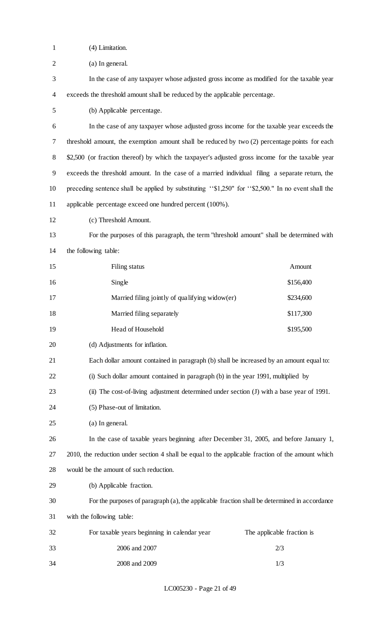(4) Limitation.

(a) In general.

 In the case of any taxpayer whose adjusted gross income as modified for the taxable year exceeds the threshold amount shall be reduced by the applicable percentage.

(b) Applicable percentage.

 In the case of any taxpayer whose adjusted gross income for the taxable year exceeds the threshold amount, the exemption amount shall be reduced by two (2) percentage points for each 8 \$2,500 (or fraction thereof) by which the taxpayer's adjusted gross income for the taxable year exceeds the threshold amount. In the case of a married individual filing a separate return, the preceding sentence shall be applied by substituting ''\$1,250" for ''\$2,500." In no event shall the applicable percentage exceed one hundred percent (100%).

(c) Threshold Amount.

 For the purposes of this paragraph, the term "threshold amount" shall be determined with the following table:

| 15 | Filing status                                  | Amount    |
|----|------------------------------------------------|-----------|
| 16 | Single                                         | \$156,400 |
| 17 | Married filing jointly of qualifying widow(er) | \$234,600 |
| 18 | Married filing separately                      | \$117,300 |
| 19 | Head of Household                              | \$195,500 |

(d) Adjustments for inflation.

- Each dollar amount contained in paragraph (b) shall be increased by an amount equal to:
- (i) Such dollar amount contained in paragraph (b) in the year 1991, multiplied by
- (ii) The cost-of-living adjustment determined under section (J) with a base year of 1991.
- (5) Phase-out of limitation.
- (a) In general.

 In the case of taxable years beginning after December 31, 2005, and before January 1, 2010, the reduction under section 4 shall be equal to the applicable fraction of the amount which would be the amount of such reduction.

(b) Applicable fraction.

# For the purposes of paragraph (a), the applicable fraction shall be determined in accordance

with the following table:

| 32 | For taxable years beginning in calendar year | The applicable fraction is |
|----|----------------------------------------------|----------------------------|
| 33 | 2006 and 2007                                | 2/3                        |
| 34 | 2008 and 2009                                | 1/3                        |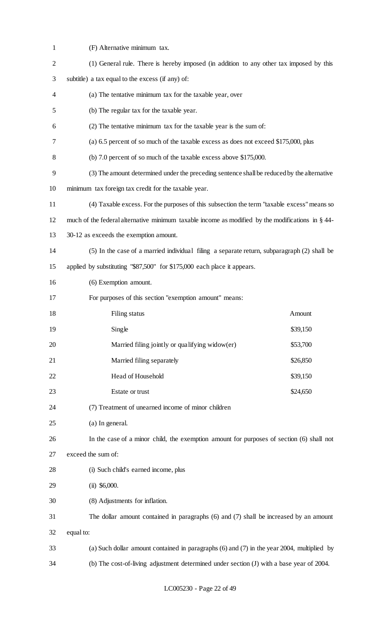| $\mathbf{1}$   | (F) Alternative minimum tax.                                                                     |  |  |
|----------------|--------------------------------------------------------------------------------------------------|--|--|
| $\overline{2}$ | (1) General rule. There is hereby imposed (in addition to any other tax imposed by this          |  |  |
| 3              | subtitle) a tax equal to the excess (if any) of:                                                 |  |  |
| 4              | (a) The tentative minimum tax for the taxable year, over                                         |  |  |
| 5              | (b) The regular tax for the taxable year.                                                        |  |  |
| 6              | (2) The tentative minimum tax for the taxable year is the sum of:                                |  |  |
| 7              | (a) 6.5 percent of so much of the taxable excess as does not exceed \$175,000, plus              |  |  |
| 8              | (b) 7.0 percent of so much of the taxable excess above \$175,000.                                |  |  |
| 9              | (3) The amount determined under the preceding sentence shall be reduced by the alternative       |  |  |
| 10             | minimum tax foreign tax credit for the taxable year.                                             |  |  |
| 11             | (4) Taxable excess. For the purposes of this subsection the term "taxable excess" means so       |  |  |
| 12             | much of the federal alternative minimum taxable income as modified by the modifications in § 44- |  |  |
| 13             | 30-12 as exceeds the exemption amount.                                                           |  |  |
| 14             | (5) In the case of a married individual filing a separate return, subparagraph (2) shall be      |  |  |
| 15             | applied by substituting "\$87,500" for \$175,000 each place it appears.                          |  |  |
| 16             | (6) Exemption amount.                                                                            |  |  |
| 17             | For purposes of this section "exemption amount" means:                                           |  |  |
| 18             | Filing status<br>Amount                                                                          |  |  |
| 19             | Single<br>\$39,150                                                                               |  |  |
| 20             | Married filing jointly or qualifying widow(er)<br>\$53,700                                       |  |  |
| 21             | Married filing separately<br>\$26,850                                                            |  |  |
| 22             | Head of Household<br>\$39,150                                                                    |  |  |
| 23             | Estate or trust<br>\$24,650                                                                      |  |  |
| 24             | (7) Treatment of unearned income of minor children                                               |  |  |
| 25             | (a) In general.                                                                                  |  |  |
| 26             | In the case of a minor child, the exemption amount for purposes of section (6) shall not         |  |  |
| 27             | exceed the sum of:                                                                               |  |  |
| 28             | (i) Such child's earned income, plus                                                             |  |  |
| 29             | $(ii)$ \$6,000.                                                                                  |  |  |
| 30             | (8) Adjustments for inflation.                                                                   |  |  |
| 31             | The dollar amount contained in paragraphs (6) and (7) shall be increased by an amount            |  |  |
| 32             | equal to:                                                                                        |  |  |
| 33             | (a) Such dollar amount contained in paragraphs (6) and (7) in the year 2004, multiplied by       |  |  |
| 34             | (b) The cost-of-living adjustment determined under section (J) with a base year of 2004.         |  |  |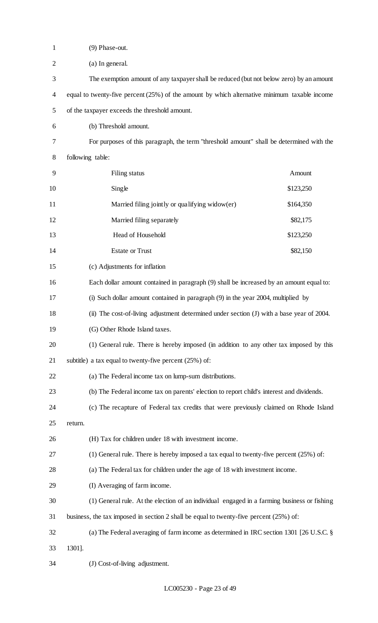| $\mathbf{1}$   | (9) Phase-out.                                                                                 |           |  |
|----------------|------------------------------------------------------------------------------------------------|-----------|--|
| $\mathbf{2}$   | (a) In general.                                                                                |           |  |
| 3              | The exemption amount of any taxpayer shall be reduced (but not below zero) by an amount        |           |  |
| $\overline{4}$ | equal to twenty-five percent $(25%)$ of the amount by which alternative minimum taxable income |           |  |
| 5              | of the taxpayer exceeds the threshold amount.                                                  |           |  |
| 6              | (b) Threshold amount.                                                                          |           |  |
| 7              | For purposes of this paragraph, the term "threshold amount" shall be determined with the       |           |  |
| 8              | following table:                                                                               |           |  |
| 9              | Filing status                                                                                  | Amount    |  |
| 10             | Single                                                                                         | \$123,250 |  |
| 11             | Married filing jointly or qualifying widow(er)                                                 | \$164,350 |  |
| 12             | Married filing separately                                                                      | \$82,175  |  |
| 13             | Head of Household                                                                              | \$123,250 |  |
| 14             | <b>Estate or Trust</b>                                                                         | \$82,150  |  |
| 15             | (c) Adjustments for inflation                                                                  |           |  |
| 16             | Each dollar amount contained in paragraph (9) shall be increased by an amount equal to:        |           |  |
| 17             | (i) Such dollar amount contained in paragraph (9) in the year 2004, multiplied by              |           |  |
| 18             | (ii) The cost-of-living adjustment determined under section (J) with a base year of 2004.      |           |  |
| 19             | (G) Other Rhode Island taxes.                                                                  |           |  |
| 20             | (1) General rule. There is hereby imposed (in addition to any other tax imposed by this        |           |  |
| 21             | subtitle) a tax equal to twenty-five percent $(25%)$ of:                                       |           |  |
| 22             | (a) The Federal income tax on lump-sum distributions.                                          |           |  |
| 23             | (b) The Federal income tax on parents' election to report child's interest and dividends.      |           |  |
| 24             | (c) The recapture of Federal tax credits that were previously claimed on Rhode Island          |           |  |
| 25             | return.                                                                                        |           |  |
| 26             | (H) Tax for children under 18 with investment income.                                          |           |  |
| 27             | (1) General rule. There is hereby imposed a tax equal to twenty-five percent $(25%)$ of:       |           |  |
| 28             | (a) The Federal tax for children under the age of 18 with investment income.                   |           |  |
| 29             | (I) Averaging of farm income.                                                                  |           |  |
| 30             | (1) General rule. At the election of an individual engaged in a farming business or fishing    |           |  |
| 31             | business, the tax imposed in section 2 shall be equal to twenty-five percent $(25%)$ of:       |           |  |
| 32             | (a) The Federal averaging of farm income as determined in IRC section 1301 [26 U.S.C. §        |           |  |
| 33             | 1301].                                                                                         |           |  |
| 34             | (J) Cost-of-living adjustment.                                                                 |           |  |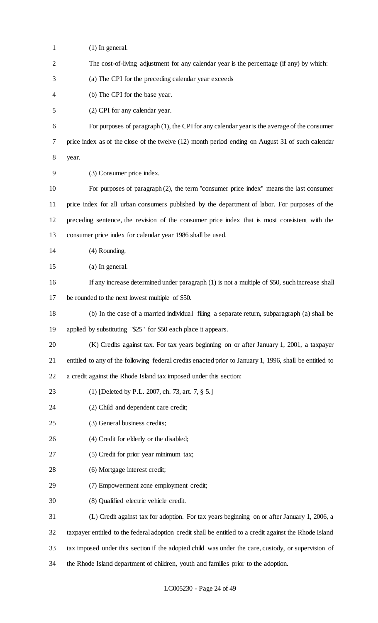| $\mathbf{1}$   | $(1)$ In general.                                                                                       |
|----------------|---------------------------------------------------------------------------------------------------------|
| $\overline{2}$ | The cost-of-living adjustment for any calendar year is the percentage (if any) by which:                |
| 3              | (a) The CPI for the preceding calendar year exceeds                                                     |
| 4              | (b) The CPI for the base year.                                                                          |
| 5              | (2) CPI for any calendar year.                                                                          |
| 6              | For purposes of paragraph (1), the CPI for any calendar year is the average of the consumer             |
| 7              | price index as of the close of the twelve (12) month period ending on August 31 of such calendar        |
| 8              | year.                                                                                                   |
| 9              | (3) Consumer price index.                                                                               |
| 10             | For purposes of paragraph (2), the term "consumer price index" means the last consumer                  |
| 11             | price index for all urban consumers published by the department of labor. For purposes of the           |
| 12             | preceding sentence, the revision of the consumer price index that is most consistent with the           |
| 13             | consumer price index for calendar year 1986 shall be used.                                              |
| 14             | (4) Rounding.                                                                                           |
| 15             | (a) In general.                                                                                         |
| 16             | If any increase determined under paragraph (1) is not a multiple of \$50, such increase shall           |
| 17             | be rounded to the next lowest multiple of \$50.                                                         |
| 18             | (b) In the case of a married individual filing a separate return, subparagraph (a) shall be             |
| 19             | applied by substituting "\$25" for \$50 each place it appears.                                          |
| 20             | (K) Credits against tax. For tax years beginning on or after January 1, 2001, a taxpayer                |
| 21             | entitled to any of the following federal credits enacted prior to January 1, 1996, shall be entitled to |
| 22             | a credit against the Rhode Island tax imposed under this section:                                       |
| 23             | (1) [Deleted by P.L. 2007, ch. 73, art. 7, § 5.]                                                        |
| 24             | (2) Child and dependent care credit;                                                                    |
| 25             | (3) General business credits;                                                                           |
| 26             | (4) Credit for elderly or the disabled;                                                                 |
| 27             | (5) Credit for prior year minimum tax;                                                                  |
| 28             | (6) Mortgage interest credit;                                                                           |
| 29             | (7) Empowerment zone employment credit;                                                                 |
| 30             | (8) Qualified electric vehicle credit.                                                                  |
| 31             | (L) Credit against tax for adoption. For tax years beginning on or after January 1, 2006, a             |
| 32             | taxpayer entitled to the federal adoption credit shall be entitled to a credit against the Rhode Island |
| 33             | tax imposed under this section if the adopted child was under the care, custody, or supervision of      |
| 34             | the Rhode Island department of children, youth and families prior to the adoption.                      |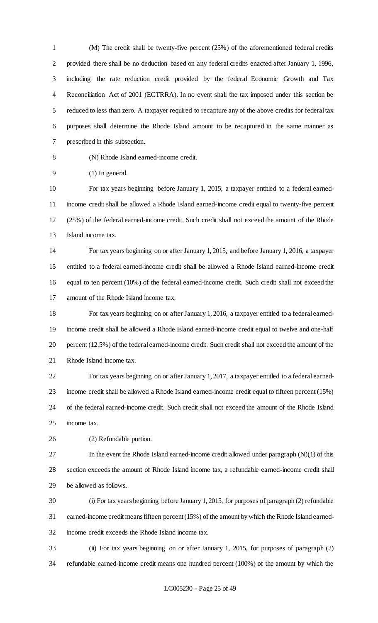(M) The credit shall be twenty-five percent (25%) of the aforementioned federal credits provided there shall be no deduction based on any federal credits enacted after January 1, 1996, including the rate reduction credit provided by the federal Economic Growth and Tax Reconciliation Act of 2001 (EGTRRA). In no event shall the tax imposed under this section be reduced to less than zero. A taxpayer required to recapture any of the above credits for federal tax purposes shall determine the Rhode Island amount to be recaptured in the same manner as prescribed in this subsection.

(N) Rhode Island earned-income credit.

(1) In general.

 For tax years beginning before January 1, 2015, a taxpayer entitled to a federal earned- income credit shall be allowed a Rhode Island earned-income credit equal to twenty-five percent (25%) of the federal earned-income credit. Such credit shall not exceed the amount of the Rhode Island income tax.

 For tax years beginning on or after January 1, 2015, and before January 1, 2016, a taxpayer entitled to a federal earned-income credit shall be allowed a Rhode Island earned-income credit equal to ten percent (10%) of the federal earned-income credit. Such credit shall not exceed the amount of the Rhode Island income tax.

 For tax years beginning on or after January 1, 2016, a taxpayer entitled to a federal earned- income credit shall be allowed a Rhode Island earned-income credit equal to twelve and one-half percent (12.5%) of the federal earned-income credit. Such credit shall not exceed the amount of the Rhode Island income tax.

 For tax years beginning on or after January 1, 2017, a taxpayer entitled to a federal earned- income credit shall be allowed a Rhode Island earned-income credit equal to fifteen percent (15%) of the federal earned-income credit. Such credit shall not exceed the amount of the Rhode Island income tax.

(2) Refundable portion.

 In the event the Rhode Island earned-income credit allowed under paragraph (N)(1) of this section exceeds the amount of Rhode Island income tax, a refundable earned-income credit shall be allowed as follows.

 (i) For tax years beginning before January 1, 2015, for purposes of paragraph (2) refundable earned-income credit means fifteen percent (15%) of the amount by which the Rhode Island earned-income credit exceeds the Rhode Island income tax.

 (ii) For tax years beginning on or after January 1, 2015, for purposes of paragraph (2) refundable earned-income credit means one hundred percent (100%) of the amount by which the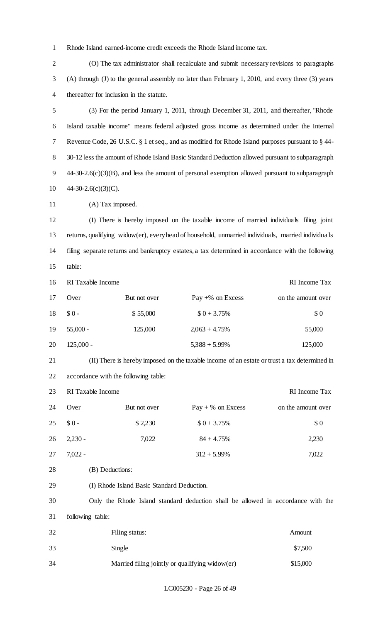Rhode Island earned-income credit exceeds the Rhode Island income tax.

 (O) The tax administrator shall recalculate and submit necessary revisions to paragraphs (A) through (J) to the general assembly no later than February 1, 2010, and every three (3) years thereafter for inclusion in the statute. (3) For the period January 1, 2011, through December 31, 2011, and thereafter, "Rhode Island taxable income" means federal adjusted gross income as determined under the Internal Revenue Code, 26 U.S.C. § 1 et seq., and as modified for Rhode Island purposes pursuant to § 44- 30-12 less the amount of Rhode Island Basic Standard Deduction allowed pursuant to subparagraph 44-30-2.6(c)(3)(B), and less the amount of personal exemption allowed pursuant to subparagraph 44-30-2.6(c)(3)(C). 11 (A) Tax imposed. (I) There is hereby imposed on the taxable income of married individuals filing joint returns, qualifying widow(er), every head of household, unmarried individuals, married individua ls filing separate returns and bankruptcy estates, a tax determined in accordance with the following table: RI Taxable Income RI Income Tax 17 Over But not over Pay +% on Excess on the amount over  $$0 - $55,000$   $$0 + 3.75\%$  \$ 0 19 55,000 - 125,000 2,063 + 4.75% 55,000 125,000 - 5,388 + 5.99% 125,000 (II) There is hereby imposed on the taxable income of an estate or trust a tax determined in accordance with the following table: RI Taxable Income RI Income Tax 24 Over But not over Pay + % on Excess on the amount over 25 \$ 0 - \$ 2,230 \$ 0 + 3.75% \$ 0 26 2,230 - 7,022 84 + 4.75% 2,230 7,022 - 312 + 5.99% 7,022 28 (B) Deductions: (I) Rhode Island Basic Standard Deduction. Only the Rhode Island standard deduction shall be allowed in accordance with the following table: Filing status: Amount

33 Single \$7,500 34 Married filing jointly or qualifying widow(er) \$15,000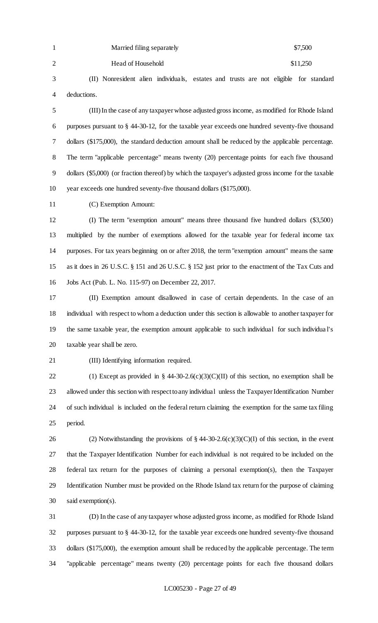|   | Married filing separately | \$7,500  |
|---|---------------------------|----------|
| 2 | Head of Household         | \$11,250 |

 (II) Nonresident alien individuals, estates and trusts are not eligible for standard deductions.

 (III) In the case of any taxpayer whose adjusted gross income, as modified for Rhode Island purposes pursuant to § 44-30-12, for the taxable year exceeds one hundred seventy-five thousand dollars (\$175,000), the standard deduction amount shall be reduced by the applicable percentage. The term "applicable percentage" means twenty (20) percentage points for each five thousand dollars (\$5,000) (or fraction thereof) by which the taxpayer's adjusted gross income for the taxable year exceeds one hundred seventy-five thousand dollars (\$175,000).

(C) Exemption Amount:

 (I) The term "exemption amount" means three thousand five hundred dollars (\$3,500) multiplied by the number of exemptions allowed for the taxable year for federal income tax purposes. For tax years beginning on or after 2018, the term "exemption amount" means the same as it does in 26 U.S.C. § 151 and 26 U.S.C. § 152 just prior to the enactment of the Tax Cuts and Jobs Act (Pub. L. No. 115-97) on December 22, 2017.

 (II) Exemption amount disallowed in case of certain dependents. In the case of an individual with respect to whom a deduction under this section is allowable to another taxpayer for the same taxable year, the exemption amount applicable to such individual for such individua l's taxable year shall be zero.

(III) Identifying information required.

22 (1) Except as provided in  $\S$  44-30-2.6(c)(3)(C)(II) of this section, no exemption shall be allowed under this section with respect to any individual unless the Taxpayer Identification Number of such individual is included on the federal return claiming the exemption for the same tax filing period.

26 (2) Notwithstanding the provisions of  $\S$  44-30-2.6(c)(3)(C)(I) of this section, in the event that the Taxpayer Identification Number for each individual is not required to be included on the federal tax return for the purposes of claiming a personal exemption(s), then the Taxpayer Identification Number must be provided on the Rhode Island tax return for the purpose of claiming said exemption(s).

 (D) In the case of any taxpayer whose adjusted gross income, as modified for Rhode Island purposes pursuant to § 44-30-12, for the taxable year exceeds one hundred seventy-five thousand dollars (\$175,000), the exemption amount shall be reduced by the applicable percentage. The term "applicable percentage" means twenty (20) percentage points for each five thousand dollars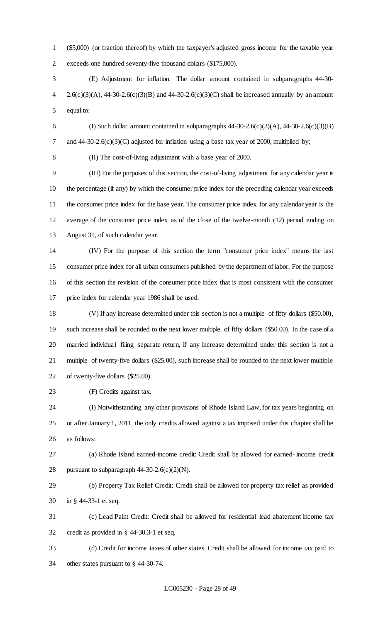(\$5,000) (or fraction thereof) by which the taxpayer's adjusted gross income for the taxable year exceeds one hundred seventy-five thousand dollars (\$175,000).

 (E) Adjustment for inflation. The dollar amount contained in subparagraphs 44-30- 4 2.6(c)(3)(A), 44-30-2.6(c)(3)(B) and 44-30-2.6(c)(3)(C) shall be increased annually by an amount equal to:

6 (I) Such dollar amount contained in subparagraphs  $44-30-2.6(c)(3)(A)$ ,  $44-30-2.6(c)(3)(B)$ 7 and 44-30-2.6(c)(3)(C) adjusted for inflation using a base tax year of 2000, multiplied by;

(II) The cost-of-living adjustment with a base year of 2000.

 (III) For the purposes of this section, the cost-of-living adjustment for any calendar year is the percentage (if any) by which the consumer price index for the preceding calendar year exceeds the consumer price index for the base year. The consumer price index for any calendar year is the average of the consumer price index as of the close of the twelve-month (12) period ending on August 31, of such calendar year.

 (IV) For the purpose of this section the term "consumer price index" means the last consumer price index for all urban consumers published by the department of labor. For the purpose of this section the revision of the consumer price index that is most consistent with the consumer price index for calendar year 1986 shall be used.

 (V) If any increase determined under this section is not a multiple of fifty dollars (\$50.00), such increase shall be rounded to the next lower multiple of fifty dollars (\$50.00). In the case of a married individual filing separate return, if any increase determined under this section is not a multiple of twenty-five dollars (\$25.00), such increase shall be rounded to the next lower multiple of twenty-five dollars (\$25.00).

(F) Credits against tax.

 (I) Notwithstanding any other provisions of Rhode Island Law, for tax years beginning on or after January 1, 2011, the only credits allowed against a tax imposed under this chapter shall be as follows:

 (a) Rhode Island earned-income credit: Credit shall be allowed for earned- income credit 28 pursuant to subparagraph  $44-30-2.6(c)(2)(N)$ .

 (b) Property Tax Relief Credit: Credit shall be allowed for property tax relief as provided in § 44-33-1 et seq.

 (c) Lead Paint Credit: Credit shall be allowed for residential lead abatement income tax credit as provided in § 44-30.3-1 et seq.

 (d) Credit for income taxes of other states. Credit shall be allowed for income tax paid to other states pursuant to § 44-30-74.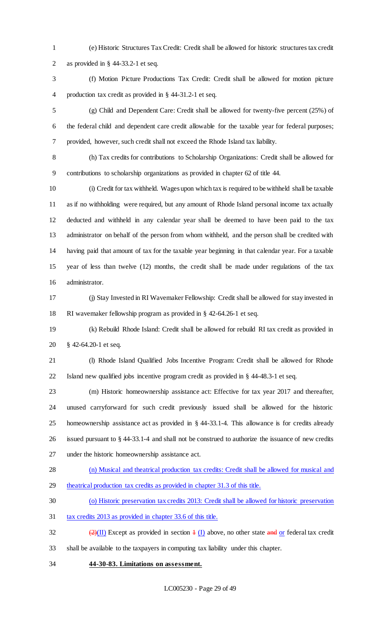- (e) Historic Structures Tax Credit: Credit shall be allowed for historic structures tax credit as provided in § 44-33.2-1 et seq.
- (f) Motion Picture Productions Tax Credit: Credit shall be allowed for motion picture production tax credit as provided in § 44-31.2-1 et seq.
- (g) Child and Dependent Care: Credit shall be allowed for twenty-five percent (25%) of the federal child and dependent care credit allowable for the taxable year for federal purposes; provided, however, such credit shall not exceed the Rhode Island tax liability.

 (h) Tax credits for contributions to Scholarship Organizations: Credit shall be allowed for contributions to scholarship organizations as provided in chapter 62 of title 44.

 (i) Credit for tax withheld. Wages upon which tax is required to be withheld shall be taxable as if no withholding were required, but any amount of Rhode Island personal income tax actually deducted and withheld in any calendar year shall be deemed to have been paid to the tax administrator on behalf of the person from whom withheld, and the person shall be credited with having paid that amount of tax for the taxable year beginning in that calendar year. For a taxable year of less than twelve (12) months, the credit shall be made under regulations of the tax administrator.

 (j) Stay Invested in RI Wavemaker Fellowship: Credit shall be allowed for stay invested in RI wavemaker fellowship program as provided in § 42-64.26-1 et seq.

 (k) Rebuild Rhode Island: Credit shall be allowed for rebuild RI tax credit as provided in § 42-64.20-1 et seq.

 (l) Rhode Island Qualified Jobs Incentive Program: Credit shall be allowed for Rhode Island new qualified jobs incentive program credit as provided in § 44-48.3-1 et seq.

 (m) Historic homeownership assistance act: Effective for tax year 2017 and thereafter, unused carryforward for such credit previously issued shall be allowed for the historic homeownership assistance act as provided in § 44-33.1-4. This allowance is for credits already issued pursuant to § 44-33.1-4 and shall not be construed to authorize the issuance of new credits under the historic homeownership assistance act.

(n) Musical and theatrical production tax credits: Credit shall be allowed for musical and

- theatrical production tax credits as provided in chapter 31.3 of this title.
- (o) Historic preservation tax credits 2013: Credit shall be allowed for historic preservation
- tax credits 2013 as provided in chapter 33.6 of this title.
- 32 (2)(II) Except as provided in section  $\pm$  (I) above, no other state and or federal tax credit shall be available to the taxpayers in computing tax liability under this chapter.
- **44-30-83. Limitations on assessment.**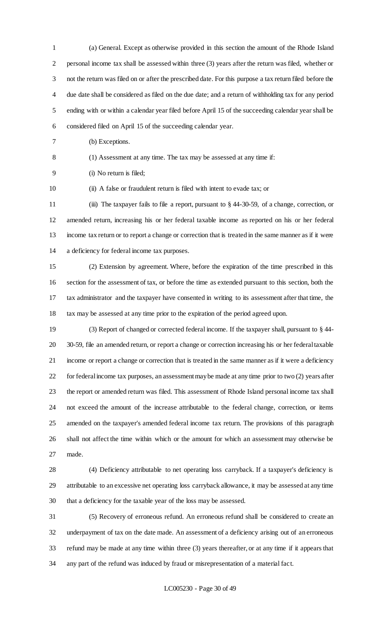(a) General. Except as otherwise provided in this section the amount of the Rhode Island personal income tax shall be assessed within three (3) years after the return was filed, whether or not the return was filed on or after the prescribed date. For this purpose a tax return filed before the due date shall be considered as filed on the due date; and a return of withholding tax for any period ending with or within a calendar year filed before April 15 of the succeeding calendar year shall be considered filed on April 15 of the succeeding calendar year.

(b) Exceptions.

(1) Assessment at any time. The tax may be assessed at any time if:

(i) No return is filed;

(ii) A false or fraudulent return is filed with intent to evade tax; or

 (iii) The taxpayer fails to file a report, pursuant to § 44-30-59, of a change, correction, or amended return, increasing his or her federal taxable income as reported on his or her federal income tax return or to report a change or correction that is treated in the same manner as if it were a deficiency for federal income tax purposes.

 (2) Extension by agreement. Where, before the expiration of the time prescribed in this section for the assessment of tax, or before the time as extended pursuant to this section, both the tax administrator and the taxpayer have consented in writing to its assessment after that time, the tax may be assessed at any time prior to the expiration of the period agreed upon.

 (3) Report of changed or corrected federal income. If the taxpayer shall, pursuant to § 44- 30-59, file an amended return, or report a change or correction increasing his or her federal taxable income or report a change or correction that is treated in the same manner as if it were a deficiency for federal income tax purposes, an assessment may be made at any time prior to two (2) years after the report or amended return was filed. This assessment of Rhode Island personal income tax shall not exceed the amount of the increase attributable to the federal change, correction, or items amended on the taxpayer's amended federal income tax return. The provisions of this paragraph shall not affect the time within which or the amount for which an assessment may otherwise be made.

 (4) Deficiency attributable to net operating loss carryback. If a taxpayer's deficiency is attributable to an excessive net operating loss carryback allowance, it may be assessed at any time that a deficiency for the taxable year of the loss may be assessed.

 (5) Recovery of erroneous refund. An erroneous refund shall be considered to create an underpayment of tax on the date made. An assessment of a deficiency arising out of an erroneous refund may be made at any time within three (3) years thereafter, or at any time if it appears that any part of the refund was induced by fraud or misrepresentation of a material fact.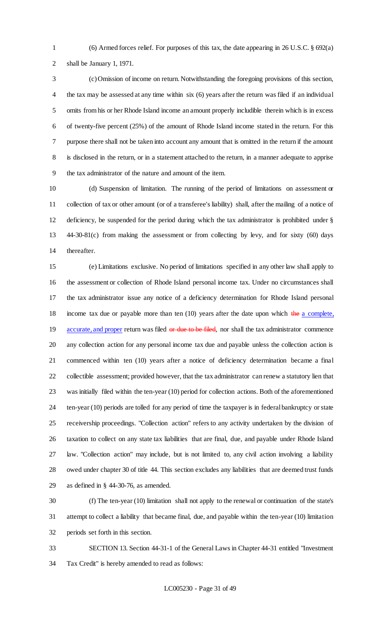(6) Armed forces relief. For purposes of this tax, the date appearing in 26 U.S.C. § 692(a) shall be January 1, 1971.

 (c) Omission of income on return. Notwithstanding the foregoing provisions of this section, the tax may be assessed at any time within six (6) years after the return was filed if an individual omits from his or her Rhode Island income an amount properly includible therein which is in excess of twenty-five percent (25%) of the amount of Rhode Island income stated in the return. For this purpose there shall not be taken into account any amount that is omitted in the return if the amount is disclosed in the return, or in a statement attached to the return, in a manner adequate to apprise the tax administrator of the nature and amount of the item.

 (d) Suspension of limitation. The running of the period of limitations on assessment or collection of tax or other amount (or of a transferee's liability) shall, after the mailing of a notice of deficiency, be suspended for the period during which the tax administrator is prohibited under § 44-30-81(c) from making the assessment or from collecting by levy, and for sixty (60) days thereafter.

 (e) Limitations exclusive. No period of limitations specified in any other law shall apply to the assessment or collection of Rhode Island personal income tax. Under no circumstances shall the tax administrator issue any notice of a deficiency determination for Rhode Island personal 18 income tax due or payable more than ten  $(10)$  years after the date upon which the a complete, 19 accurate, and proper return was filed or due to be filed, nor shall the tax administrator commence any collection action for any personal income tax due and payable unless the collection action is commenced within ten (10) years after a notice of deficiency determination became a final collectible assessment; provided however, that the tax administrator can renew a statutory lien that was initially filed within the ten-year (10) period for collection actions. Both of the aforementioned ten-year (10) periods are tolled for any period of time the taxpayer is in federal bankruptcy or state receivership proceedings. "Collection action" refers to any activity undertaken by the division of taxation to collect on any state tax liabilities that are final, due, and payable under Rhode Island law. "Collection action" may include, but is not limited to, any civil action involving a liability owed under chapter 30 of title 44. This section excludes any liabilities that are deemed trust funds as defined in § 44-30-76, as amended.

 (f) The ten-year (10) limitation shall not apply to the renewal or continuation of the state's attempt to collect a liability that became final, due, and payable within the ten-year (10) limitation periods set forth in this section.

 SECTION 13. Section 44-31-1 of the General Laws in Chapter 44-31 entitled "Investment Tax Credit" is hereby amended to read as follows: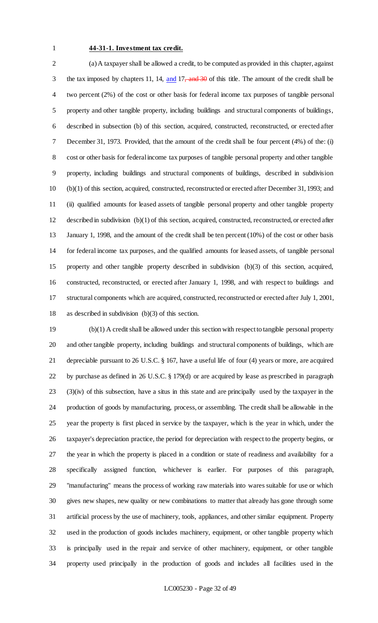### **44-31-1. Investment tax credit.**

 (a) A taxpayer shall be allowed a credit, to be computed as provided in this chapter, against 3 the tax imposed by chapters 11, 14, and 17, and 30 of this title. The amount of the credit shall be two percent (2%) of the cost or other basis for federal income tax purposes of tangible personal property and other tangible property, including buildings and structural components of buildings, described in subsection (b) of this section, acquired, constructed, reconstructed, or erected after December 31, 1973. Provided, that the amount of the credit shall be four percent (4%) of the: (i) cost or other basis for federal income tax purposes of tangible personal property and other tangible property, including buildings and structural components of buildings, described in subdivision (b)(1) of this section, acquired, constructed, reconstructed or erected after December 31, 1993; and (ii) qualified amounts for leased assets of tangible personal property and other tangible property described in subdivision (b)(1) of this section, acquired, constructed, reconstructed, or erected after January 1, 1998, and the amount of the credit shall be ten percent (10%) of the cost or other basis for federal income tax purposes, and the qualified amounts for leased assets, of tangible personal property and other tangible property described in subdivision (b)(3) of this section, acquired, constructed, reconstructed, or erected after January 1, 1998, and with respect to buildings and structural components which are acquired, constructed, reconstructed or erected after July 1, 2001, as described in subdivision (b)(3) of this section.

 (b)(1) A credit shall be allowed under this section with respect to tangible personal property and other tangible property, including buildings and structural components of buildings, which are depreciable pursuant to 26 U.S.C. § 167, have a useful life of four (4) years or more, are acquired by purchase as defined in 26 U.S.C. § 179(d) or are acquired by lease as prescribed in paragraph (3)(iv) of this subsection, have a situs in this state and are principally used by the taxpayer in the production of goods by manufacturing, process, or assembling. The credit shall be allowable in the year the property is first placed in service by the taxpayer, which is the year in which, under the taxpayer's depreciation practice, the period for depreciation with respect to the property begins, or the year in which the property is placed in a condition or state of readiness and availability for a specifically assigned function, whichever is earlier. For purposes of this paragraph, "manufacturing" means the process of working raw materials into wares suitable for use or which gives new shapes, new quality or new combinations to matter that already has gone through some artificial process by the use of machinery, tools, appliances, and other similar equipment. Property used in the production of goods includes machinery, equipment, or other tangible property which is principally used in the repair and service of other machinery, equipment, or other tangible property used principally in the production of goods and includes all facilities used in the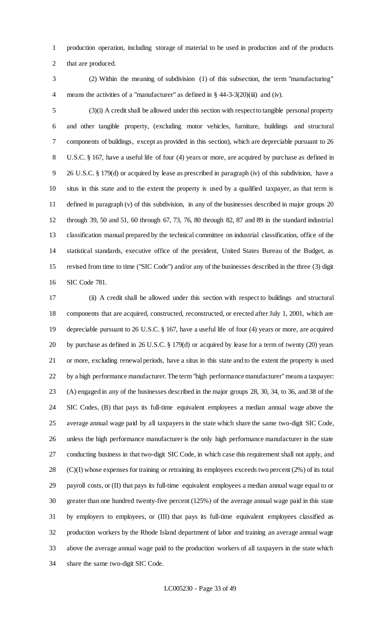production operation, including storage of material to be used in production and of the products that are produced.

 (2) Within the meaning of subdivision (1) of this subsection, the term "manufacturing" means the activities of a "manufacturer" as defined in § 44-3-3(20)(iii) and (iv).

 (3)(i) A credit shall be allowed under this section with respect to tangible personal property and other tangible property, (excluding motor vehicles, furniture, buildings and structural components of buildings, except as provided in this section), which are depreciable pursuant to 26 U.S.C. § 167, have a useful life of four (4) years or more, are acquired by purchase as defined in 26 U.S.C. § 179(d) or acquired by lease as prescribed in paragraph (iv) of this subdivision, have a situs in this state and to the extent the property is used by a qualified taxpayer, as that term is defined in paragraph (v) of this subdivision, in any of the businesses described in major groups 20 through 39, 50 and 51, 60 through 67, 73, 76, 80 through 82, 87 and 89 in the standard industrial classification manual prepared by the technical committee on industrial classification, office of the statistical standards, executive office of the president, United States Bureau of the Budget, as revised from time to time ("SIC Code") and/or any of the businesses described in the three (3) digit SIC Code 781.

 (ii) A credit shall be allowed under this section with respect to buildings and structural components that are acquired, constructed, reconstructed, or erected after July 1, 2001, which are depreciable pursuant to 26 U.S.C. § 167, have a useful life of four (4) years or more, are acquired by purchase as defined in 26 U.S.C. § 179(d) or acquired by lease for a term of twenty (20) years or more, excluding renewal periods, have a situs in this state and to the extent the property is used by a high performance manufacturer. The term "high performance manufacturer" means a taxpayer: (A) engaged in any of the businesses described in the major groups 28, 30, 34, to 36, and 38 of the SIC Codes, (B) that pays its full-time equivalent employees a median annual wage above the average annual wage paid by all taxpayers in the state which share the same two-digit SIC Code, unless the high performance manufacturer is the only high performance manufacturer in the state conducting business in that two-digit SIC Code, in which case this requirement shall not apply, and (C)(I) whose expenses for training or retraining its employees exceeds two percent (2%) of its total payroll costs, or (II) that pays its full-time equivalent employees a median annual wage equal to or greater than one hundred twenty-five percent (125%) of the average annual wage paid in this state by employers to employees, or (III) that pays its full-time equivalent employees classified as production workers by the Rhode Island department of labor and training an average annual wage above the average annual wage paid to the production workers of all taxpayers in the state which share the same two-digit SIC Code.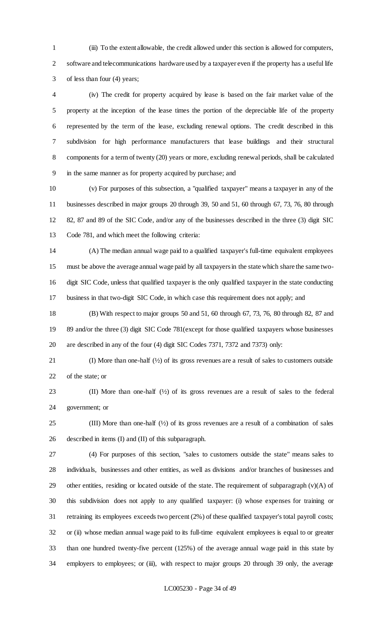(iii) To the extent allowable, the credit allowed under this section is allowed for computers, software and telecommunications hardware used by a taxpayer even if the property has a useful life of less than four (4) years;

 (iv) The credit for property acquired by lease is based on the fair market value of the property at the inception of the lease times the portion of the depreciable life of the property represented by the term of the lease, excluding renewal options. The credit described in this subdivision for high performance manufacturers that lease buildings and their structural components for a term of twenty (20) years or more, excluding renewal periods, shall be calculated in the same manner as for property acquired by purchase; and

 (v) For purposes of this subsection, a "qualified taxpayer" means a taxpayer in any of the businesses described in major groups 20 through 39, 50 and 51, 60 through 67, 73, 76, 80 through 82, 87 and 89 of the SIC Code, and/or any of the businesses described in the three (3) digit SIC Code 781, and which meet the following criteria:

 (A) The median annual wage paid to a qualified taxpayer's full-time equivalent employees must be above the average annual wage paid by all taxpayers in the state which share the same two- digit SIC Code, unless that qualified taxpayer is the only qualified taxpayer in the state conducting business in that two-digit SIC Code, in which case this requirement does not apply; and

 (B) With respect to major groups 50 and 51, 60 through 67, 73, 76, 80 through 82, 87 and 89 and/or the three (3) digit SIC Code 781(except for those qualified taxpayers whose businesses are described in any of the four (4) digit SIC Codes 7371, 7372 and 7373) only:

 (I) More than one-half (½) of its gross revenues are a result of sales to customers outside of the state; or

 (II) More than one-half (½) of its gross revenues are a result of sales to the federal government; or

25 (III) More than one-half  $(\frac{1}{2})$  of its gross revenues are a result of a combination of sales described in items (I) and (II) of this subparagraph.

 (4) For purposes of this section, "sales to customers outside the state" means sales to individuals, businesses and other entities, as well as divisions and/or branches of businesses and 29 other entities, residing or located outside of the state. The requirement of subparagraph  $(v)(A)$  of this subdivision does not apply to any qualified taxpayer: (i) whose expenses for training or retraining its employees exceeds two percent (2%) of these qualified taxpayer's total payroll costs; or (ii) whose median annual wage paid to its full-time equivalent employees is equal to or greater than one hundred twenty-five percent (125%) of the average annual wage paid in this state by employers to employees; or (iii), with respect to major groups 20 through 39 only, the average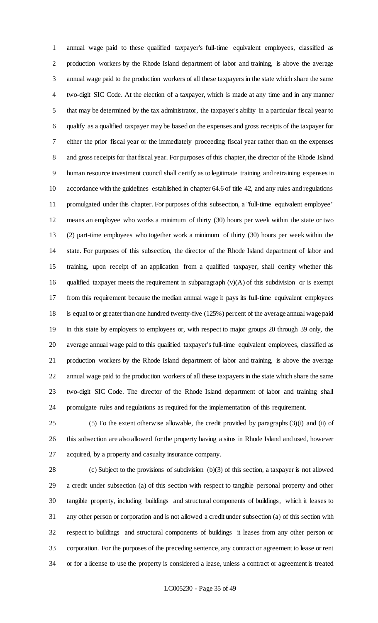annual wage paid to these qualified taxpayer's full-time equivalent employees, classified as production workers by the Rhode Island department of labor and training, is above the average annual wage paid to the production workers of all these taxpayers in the state which share the same two-digit SIC Code. At the election of a taxpayer, which is made at any time and in any manner that may be determined by the tax administrator, the taxpayer's ability in a particular fiscal year to qualify as a qualified taxpayer may be based on the expenses and gross receipts of the taxpayer for either the prior fiscal year or the immediately proceeding fiscal year rather than on the expenses and gross receipts for that fiscal year. For purposes of this chapter, the director of the Rhode Island human resource investment council shall certify as to legitimate training and retraining expenses in accordance with the guidelines established in chapter 64.6 of title 42, and any rules and regulations promulgated under this chapter. For purposes of this subsection, a "full-time equivalent employee" means an employee who works a minimum of thirty (30) hours per week within the state or two (2) part-time employees who together work a minimum of thirty (30) hours per week within the state. For purposes of this subsection, the director of the Rhode Island department of labor and training, upon receipt of an application from a qualified taxpayer, shall certify whether this 16 qualified taxpayer meets the requirement in subparagraph  $(v)(A)$  of this subdivision or is exempt from this requirement because the median annual wage it pays its full-time equivalent employees is equal to or greater than one hundred twenty-five (125%) percent of the average annual wage paid in this state by employers to employees or, with respect to major groups 20 through 39 only, the average annual wage paid to this qualified taxpayer's full-time equivalent employees, classified as production workers by the Rhode Island department of labor and training, is above the average annual wage paid to the production workers of all these taxpayers in the state which share the same two-digit SIC Code. The director of the Rhode Island department of labor and training shall promulgate rules and regulations as required for the implementation of this requirement.

 (5) To the extent otherwise allowable, the credit provided by paragraphs (3)(i) and (ii) of this subsection are also allowed for the property having a situs in Rhode Island and used, however acquired, by a property and casualty insurance company.

 (c) Subject to the provisions of subdivision (b)(3) of this section, a taxpayer is not allowed a credit under subsection (a) of this section with respect to tangible personal property and other tangible property, including buildings and structural components of buildings, which it leases to any other person or corporation and is not allowed a credit under subsection (a) of this section with respect to buildings and structural components of buildings it leases from any other person or corporation. For the purposes of the preceding sentence, any contract or agreement to lease or rent or for a license to use the property is considered a lease, unless a contract or agreement is treated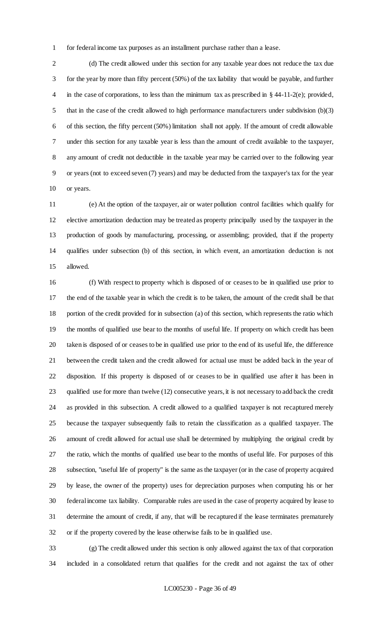for federal income tax purposes as an installment purchase rather than a lease.

 (d) The credit allowed under this section for any taxable year does not reduce the tax due for the year by more than fifty percent (50%) of the tax liability that would be payable, and further 4 in the case of corporations, to less than the minimum tax as prescribed in § 44-11-2(e); provided, 5 that in the case of the credit allowed to high performance manufacturers under subdivision (b)(3) of this section, the fifty percent (50%) limitation shall not apply. If the amount of credit allowable under this section for any taxable year is less than the amount of credit available to the taxpayer, any amount of credit not deductible in the taxable year may be carried over to the following year or years (not to exceed seven (7) years) and may be deducted from the taxpayer's tax for the year or years.

 (e) At the option of the taxpayer, air or water pollution control facilities which qualify for elective amortization deduction may be treated as property principally used by the taxpayer in the production of goods by manufacturing, processing, or assembling; provided, that if the property qualifies under subsection (b) of this section, in which event, an amortization deduction is not allowed.

 (f) With respect to property which is disposed of or ceases to be in qualified use prior to the end of the taxable year in which the credit is to be taken, the amount of the credit shall be that portion of the credit provided for in subsection (a) of this section, which represents the ratio which the months of qualified use bear to the months of useful life. If property on which credit has been taken is disposed of or ceases to be in qualified use prior to the end of its useful life, the difference between the credit taken and the credit allowed for actual use must be added back in the year of disposition. If this property is disposed of or ceases to be in qualified use after it has been in qualified use for more than twelve (12) consecutive years, it is not necessary to add back the credit as provided in this subsection. A credit allowed to a qualified taxpayer is not recaptured merely because the taxpayer subsequently fails to retain the classification as a qualified taxpayer. The amount of credit allowed for actual use shall be determined by multiplying the original credit by the ratio, which the months of qualified use bear to the months of useful life. For purposes of this subsection, "useful life of property" is the same as the taxpayer (or in the case of property acquired by lease, the owner of the property) uses for depreciation purposes when computing his or her federal income tax liability. Comparable rules are used in the case of property acquired by lease to determine the amount of credit, if any, that will be recaptured if the lease terminates prematurely or if the property covered by the lease otherwise fails to be in qualified use.

 (g) The credit allowed under this section is only allowed against the tax of that corporation included in a consolidated return that qualifies for the credit and not against the tax of other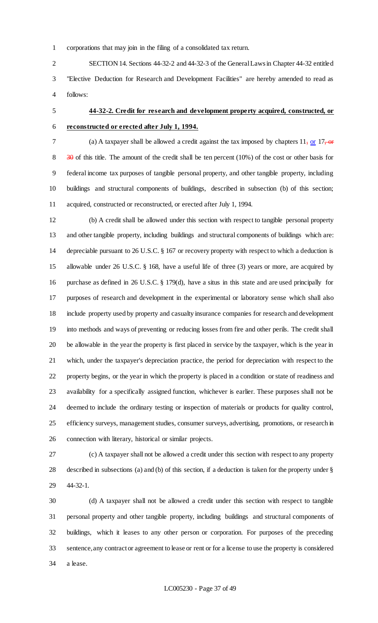corporations that may join in the filing of a consolidated tax return.

 SECTION 14. Sections 44-32-2 and 44-32-3 of the General Laws in Chapter 44-32 entitled "Elective Deduction for Research and Development Facilities" are hereby amended to read as follows:

# **44-32-2. Credit for research and development property acquired, constructed, or reconstructed or erected after July 1, 1994.**

7 (a) A taxpayer shall be allowed a credit against the tax imposed by chapters , or  $17$ , or 8 30 of this title. The amount of the credit shall be ten percent (10%) of the cost or other basis for federal income tax purposes of tangible personal property, and other tangible property, including buildings and structural components of buildings, described in subsection (b) of this section; acquired, constructed or reconstructed, or erected after July 1, 1994.

 (b) A credit shall be allowed under this section with respect to tangible personal property and other tangible property, including buildings and structural components of buildings which are: depreciable pursuant to 26 U.S.C. § 167 or recovery property with respect to which a deduction is allowable under 26 U.S.C. § 168, have a useful life of three (3) years or more, are acquired by purchase as defined in 26 U.S.C. § 179(d), have a situs in this state and are used principally for purposes of research and development in the experimental or laboratory sense which shall also include property used by property and casualty insurance companies for research and development into methods and ways of preventing or reducing losses from fire and other perils. The credit shall be allowable in the year the property is first placed in service by the taxpayer, which is the year in which, under the taxpayer's depreciation practice, the period for depreciation with respect to the property begins, or the year in which the property is placed in a condition or state of readiness and availability for a specifically assigned function, whichever is earlier. These purposes shall not be deemed to include the ordinary testing or inspection of materials or products for quality control, efficiency surveys, management studies, consumer surveys, advertising, promotions, or research in connection with literary, historical or similar projects.

 (c) A taxpayer shall not be allowed a credit under this section with respect to any property described in subsections (a) and (b) of this section, if a deduction is taken for the property under § 44-32-1.

 (d) A taxpayer shall not be allowed a credit under this section with respect to tangible personal property and other tangible property, including buildings and structural components of buildings, which it leases to any other person or corporation. For purposes of the preceding sentence, any contract or agreement to lease or rent or for a license to use the property is considered a lease.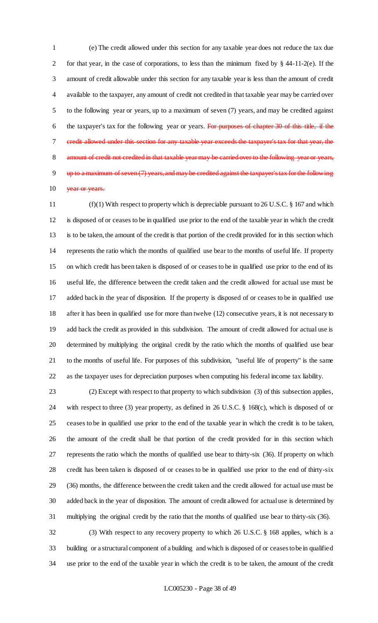(e) The credit allowed under this section for any taxable year does not reduce the tax due for that year, in the case of corporations, to less than the minimum fixed by § 44-11-2(e). If the amount of credit allowable under this section for any taxable year is less than the amount of credit available to the taxpayer, any amount of credit not credited in that taxable year may be carried over to the following year or years, up to a maximum of seven (7) years, and may be credited against the taxpayer's tax for the following year or years. For purposes of chapter 30 of this title, if the credit allowed under this section for any taxable year exceeds the taxpayer's tax for that year, the 8 amount of credit not credited in that taxable year may be carried over to the following year or years, up to a maximum of seven (7) years, and may be credited against the taxpayer's tax for the following 10 year or years.

 (f)(1) With respect to property which is depreciable pursuant to 26 U.S.C. § 167 and which is disposed of or ceases to be in qualified use prior to the end of the taxable year in which the credit is to be taken, the amount of the credit is that portion of the credit provided for in this section which represents the ratio which the months of qualified use bear to the months of useful life. If property on which credit has been taken is disposed of or ceases to be in qualified use prior to the end of its useful life, the difference between the credit taken and the credit allowed for actual use must be added back in the year of disposition. If the property is disposed of or ceases to be in qualified use after it has been in qualified use for more than twelve (12) consecutive years, it is not necessary to add back the credit as provided in this subdivision. The amount of credit allowed for actual use is determined by multiplying the original credit by the ratio which the months of qualified use bear to the months of useful life. For purposes of this subdivision, "useful life of property" is the same as the taxpayer uses for depreciation purposes when computing his federal income tax liability.

 (2) Except with respect to that property to which subdivision (3) of this subsection applies, with respect to three (3) year property, as defined in 26 U.S.C. § 168(c), which is disposed of or ceases to be in qualified use prior to the end of the taxable year in which the credit is to be taken, the amount of the credit shall be that portion of the credit provided for in this section which represents the ratio which the months of qualified use bear to thirty-six (36). If property on which credit has been taken is disposed of or ceases to be in qualified use prior to the end of thirty-six (36) months, the difference between the credit taken and the credit allowed for actual use must be added back in the year of disposition. The amount of credit allowed for actual use is determined by multiplying the original credit by the ratio that the months of qualified use bear to thirty-six (36).

 (3) With respect to any recovery property to which 26 U.S.C. § 168 applies, which is a building or a structural component of a building and which is disposed of or ceases to be in qualified use prior to the end of the taxable year in which the credit is to be taken, the amount of the credit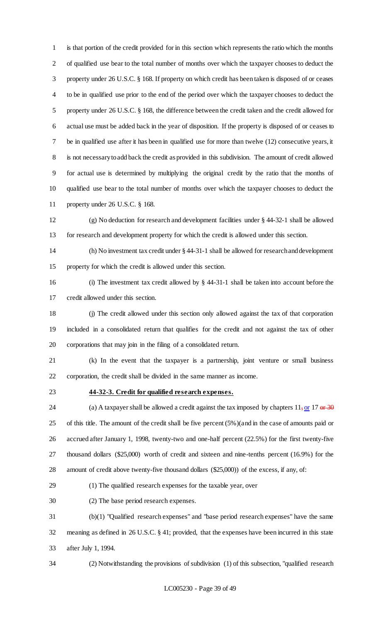is that portion of the credit provided for in this section which represents the ratio which the months of qualified use bear to the total number of months over which the taxpayer chooses to deduct the property under 26 U.S.C. § 168. If property on which credit has been taken is disposed of or ceases to be in qualified use prior to the end of the period over which the taxpayer chooses to deduct the property under 26 U.S.C. § 168, the difference between the credit taken and the credit allowed for actual use must be added back in the year of disposition. If the property is disposed of or ceases to be in qualified use after it has been in qualified use for more than twelve (12) consecutive years, it is not necessary to add back the credit as provided in this subdivision. The amount of credit allowed for actual use is determined by multiplying the original credit by the ratio that the months of qualified use bear to the total number of months over which the taxpayer chooses to deduct the property under 26 U.S.C. § 168.

 (g) No deduction for research and development facilities under § 44-32-1 shall be allowed for research and development property for which the credit is allowed under this section.

 (h) No investment tax credit under § 44-31-1 shall be allowed for research and development property for which the credit is allowed under this section.

 (i) The investment tax credit allowed by § 44-31-1 shall be taken into account before the credit allowed under this section.

 (j) The credit allowed under this section only allowed against the tax of that corporation included in a consolidated return that qualifies for the credit and not against the tax of other corporations that may join in the filing of a consolidated return.

 (k) In the event that the taxpayer is a partnership, joint venture or small business corporation, the credit shall be divided in the same manner as income.

# **44-32-3. Credit for qualified research expenses.**

24 (a) A taxpayer shall be allowed a credit against the tax imposed by chapters , or  $17 \text{ or } 30$  of this title. The amount of the credit shall be five percent (5%)(and in the case of amounts paid or accrued after January 1, 1998, twenty-two and one-half percent (22.5%) for the first twenty-five thousand dollars (\$25,000) worth of credit and sixteen and nine-tenths percent (16.9%) for the amount of credit above twenty-five thousand dollars (\$25,000)) of the excess, if any, of:

(1) The qualified research expenses for the taxable year, over

(2) The base period research expenses.

 (b)(1) "Qualified research expenses" and "base period research expenses" have the same meaning as defined in 26 U.S.C. § 41; provided, that the expenses have been incurred in this state after July 1, 1994.

(2) Notwithstanding the provisions of subdivision (1) of this subsection, "qualified research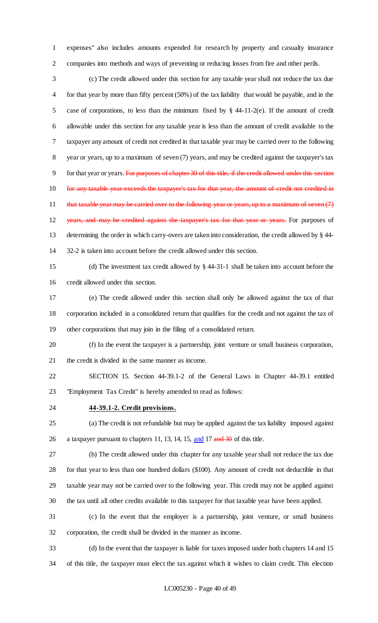expenses" also includes amounts expended for research by property and casualty insurance companies into methods and ways of preventing or reducing losses from fire and other perils.

 (c) The credit allowed under this section for any taxable year shall not reduce the tax due for that year by more than fifty percent (50%) of the tax liability that would be payable, and in the case of corporations, to less than the minimum fixed by § 44-11-2(e). If the amount of credit allowable under this section for any taxable year is less than the amount of credit available to the taxpayer any amount of credit not credited in that taxable year may be carried over to the following year or years, up to a maximum of seven (7) years, and may be credited against the taxpayer's tax 9 for that year or years. For purposes of chapter 30 of this title, if the credit allowed under this section for any taxable year exceeds the taxpayer's tax for that year, the amount of credit not credited in 11 that taxable year may be carried over to the following year or years, up to a maximum of seven (7) 12 years, and may be credited against the taxpayer's tax for that year or years. For purposes of determining the order in which carry-overs are taken into consideration, the credit allowed by § 44- 32-2 is taken into account before the credit allowed under this section.

 (d) The investment tax credit allowed by § 44-31-1 shall be taken into account before the credit allowed under this section.

 (e) The credit allowed under this section shall only be allowed against the tax of that corporation included in a consolidated return that qualifies for the credit and not against the tax of other corporations that may join in the filing of a consolidated return.

 (f) In the event the taxpayer is a partnership, joint venture or small business corporation, the credit is divided in the same manner as income.

 SECTION 15. Section 44-39.1-2 of the General Laws in Chapter 44-39.1 entitled "Employment Tax Credit" is hereby amended to read as follows:

**44-39.1-2. Credit provisions.**

 (a) The credit is not refundable but may be applied against the tax liability imposed against 26 a taxpayer pursuant to chapters 11, 13, 14, 15, and 17 and 30 of this title.

 (b) The credit allowed under this chapter for any taxable year shall not reduce the tax due for that year to less than one hundred dollars (\$100). Any amount of credit not deductible in that taxable year may not be carried over to the following year. This credit may not be applied against the tax until all other credits available to this taxpayer for that taxable year have been applied.

 (c) In the event that the employer is a partnership, joint venture, or small business corporation, the credit shall be divided in the manner as income.

 (d) In the event that the taxpayer is liable for taxes imposed under both chapters 14 and 15 of this title, the taxpayer must elect the tax against which it wishes to claim credit. This election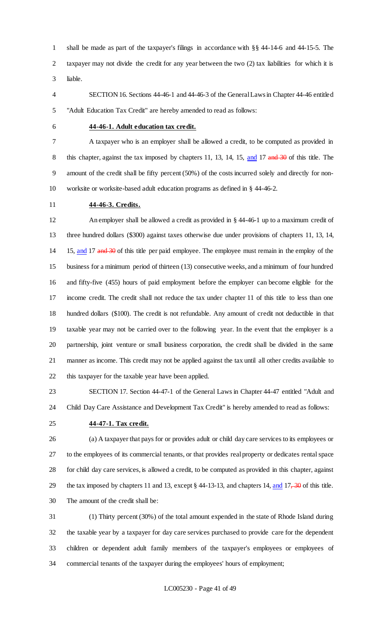shall be made as part of the taxpayer's filings in accordance with §§ 44-14-6 and 44-15-5. The taxpayer may not divide the credit for any year between the two (2) tax liabilities for which it is liable.

 SECTION 16. Sections 44-46-1 and 44-46-3 of the General Laws in Chapter 44-46 entitled "Adult Education Tax Credit" are hereby amended to read as follows:

### **44-46-1. Adult education tax credit.**

 A taxpayer who is an employer shall be allowed a credit, to be computed as provided in 8 this chapter, against the tax imposed by chapters 11, 13, 14, 15, and 17 and 30 of this title. The amount of the credit shall be fifty percent (50%) of the costs incurred solely and directly for non-worksite or worksite-based adult education programs as defined in § 44-46-2.

**44-46-3. Credits.**

 An employer shall be allowed a credit as provided in § 44-46-1 up to a maximum credit of three hundred dollars (\$300) against taxes otherwise due under provisions of chapters 11, 13, 14, 14 15, and 17 and 30 of this title per paid employee. The employee must remain in the employ of the business for a minimum period of thirteen (13) consecutive weeks, and a minimum of four hundred and fifty-five (455) hours of paid employment before the employer can become eligible for the income credit. The credit shall not reduce the tax under chapter 11 of this title to less than one hundred dollars (\$100). The credit is not refundable. Any amount of credit not deductible in that taxable year may not be carried over to the following year. In the event that the employer is a partnership, joint venture or small business corporation, the credit shall be divided in the same manner as income. This credit may not be applied against the tax until all other credits available to this taxpayer for the taxable year have been applied.

 SECTION 17. Section 44-47-1 of the General Laws in Chapter 44-47 entitled "Adult and Child Day Care Assistance and Development Tax Credit" is hereby amended to read as follows:

#### **44-47-1. Tax credit.**

 (a) A taxpayer that pays for or provides adult or child day care services to its employees or to the employees of its commercial tenants, or that provides real property or dedicates rental space for child day care services, is allowed a credit, to be computed as provided in this chapter, against 29 the tax imposed by chapters 11 and 13, except  $\S$  44-13-13, and chapters 14, and 17, 30 of this title. The amount of the credit shall be:

 (1) Thirty percent (30%) of the total amount expended in the state of Rhode Island during the taxable year by a taxpayer for day care services purchased to provide care for the dependent children or dependent adult family members of the taxpayer's employees or employees of commercial tenants of the taxpayer during the employees' hours of employment;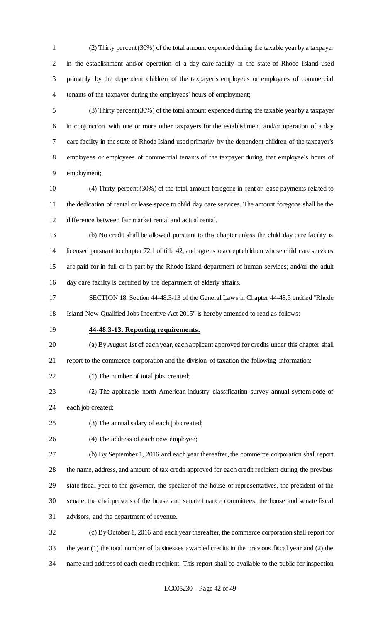(2) Thirty percent (30%) of the total amount expended during the taxable year by a taxpayer in the establishment and/or operation of a day care facility in the state of Rhode Island used primarily by the dependent children of the taxpayer's employees or employees of commercial tenants of the taxpayer during the employees' hours of employment;

 (3) Thirty percent (30%) of the total amount expended during the taxable year by a taxpayer in conjunction with one or more other taxpayers for the establishment and/or operation of a day care facility in the state of Rhode Island used primarily by the dependent children of the taxpayer's employees or employees of commercial tenants of the taxpayer during that employee's hours of employment;

 (4) Thirty percent (30%) of the total amount foregone in rent or lease payments related to the dedication of rental or lease space to child day care services. The amount foregone shall be the difference between fair market rental and actual rental.

 (b) No credit shall be allowed pursuant to this chapter unless the child day care facility is licensed pursuant to chapter 72.1 of title 42, and agrees to accept children whose child care services are paid for in full or in part by the Rhode Island department of human services; and/or the adult day care facility is certified by the department of elderly affairs.

 SECTION 18. Section 44-48.3-13 of the General Laws in Chapter 44-48.3 entitled "Rhode Island New Qualified Jobs Incentive Act 2015" is hereby amended to read as follows:

### **44-48.3-13. Reporting requirements.**

 (a) By August 1st of each year, each applicant approved for credits under this chapter shall report to the commerce corporation and the division of taxation the following information:

(1) The number of total jobs created;

 (2) The applicable north American industry classification survey annual system code of each job created;

(3) The annual salary of each job created;

(4) The address of each new employee;

 (b) By September 1, 2016 and each year thereafter, the commerce corporation shall report the name, address, and amount of tax credit approved for each credit recipient during the previous state fiscal year to the governor, the speaker of the house of representatives, the president of the senate, the chairpersons of the house and senate finance committees, the house and senate fiscal advisors, and the department of revenue.

 (c) By October 1, 2016 and each year thereafter, the commerce corporation shall report for the year (1) the total number of businesses awarded credits in the previous fiscal year and (2) the name and address of each credit recipient. This report shall be available to the public for inspection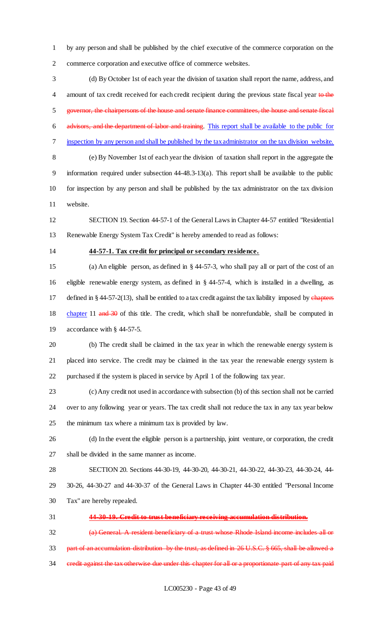by any person and shall be published by the chief executive of the commerce corporation on the commerce corporation and executive office of commerce websites.

 (d) By October 1st of each year the division of taxation shall report the name, address, and 4 amount of tax credit received for each credit recipient during the previous state fiscal year to the governor, the chairpersons of the house and senate finance committees, the house and senate fiscal advisors, and the department of labor and training. This report shall be available to the public for inspection by any person and shall be published by the tax administrator on the tax division website. (e) By November 1st of each year the division of taxation shall report in the aggregate the information required under subsection 44-48.3-13(a). This report shall be available to the public for inspection by any person and shall be published by the tax administrator on the tax division

website.

 SECTION 19. Section 44-57-1 of the General Laws in Chapter 44-57 entitled "Residential Renewable Energy System Tax Credit" is hereby amended to read as follows:

### **44-57-1. Tax credit for principal or secondary residence.**

 (a) An eligible person, as defined in § 44-57-3, who shall pay all or part of the cost of an eligible renewable energy system, as defined in § 44-57-4, which is installed in a dwelling, as 17 defined in § 44-57-2(13), shall be entitled to a tax credit against the tax liability imposed by chapters 18 chapter 11 and 30 of this title. The credit, which shall be nonrefundable, shall be computed in accordance with § 44-57-5.

 (b) The credit shall be claimed in the tax year in which the renewable energy system is placed into service. The credit may be claimed in the tax year the renewable energy system is purchased if the system is placed in service by April 1 of the following tax year.

 (c) Any credit not used in accordance with subsection (b) of this section shall not be carried over to any following year or years. The tax credit shall not reduce the tax in any tax year below the minimum tax where a minimum tax is provided by law.

 (d) In the event the eligible person is a partnership, joint venture, or corporation, the credit shall be divided in the same manner as income.

 SECTION 20. Sections 44-30-19, 44-30-20, 44-30-21, 44-30-22, 44-30-23, 44-30-24, 44- 30-26, 44-30-27 and 44-30-37 of the General Laws in Chapter 44-30 entitled "Personal Income Tax" are hereby repealed.

**44-30-19. Credit to trust beneficiary receiving accumulation distribution.**

 (a) General. A resident beneficiary of a trust whose Rhode Island income includes all or part of an accumulation distribution by the trust, as defined in 26 U.S.C. § 665, shall be allowed a 34 credit against the tax otherwise due under this chapter for all or a proportionate part of any tax paid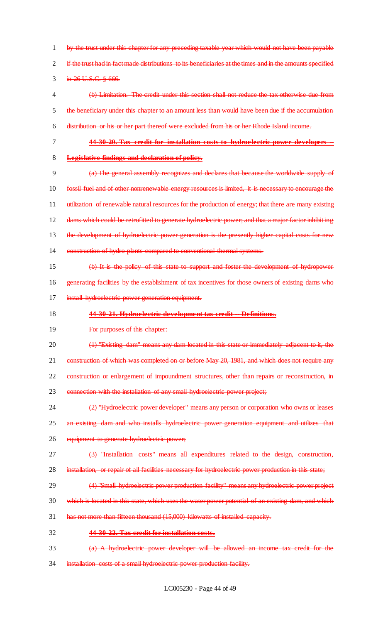by the trust under this chapter for any preceding taxable year which would not have been payable 2 if the trust had in fact made distributions to its beneficiaries at the times and in the amounts specified 3 in 26 U.S.C. § 666. (b) Limitation. The credit under this section shall not reduce the tax otherwise due from the beneficiary under this chapter to an amount less than would have been due if the accumulation distribution or his or her part thereof were excluded from his or her Rhode Island income. **44-30-20. Tax credit for installation costs to hydroelectric power developers Legislative findings and declaration of policy.**

 (a) The general assembly recognizes and declares that because the worldwide supply of fossil fuel and of other nonrenewable energy resources is limited, it is necessary to encourage the utilization of renewable natural resources for the production of energy; that there are many existing 12 dams which could be retrofitted to generate hydroelectric power; and that a major factor inhibiting 13 the development of hydroelectric power generation is the presently higher capital costs for new 14 construction of hydro plants compared to conventional thermal systems. (b) It is the policy of this state to support and foster the development of hydropower

16 generating facilities by the establishment of tax incentives for those owners of existing dams who 17 install hydroelectric power generation equipment.

### **44-30-21. Hydroelectric development tax credit -- Definitions.**

**For purposes of this chapter:** 

20 (1) "Existing dam" means any dam located in this state or immediately adjacent to it, the 21 construction of which was completed on or before May 20, 1981, and which does not require any

construction or enlargement of impoundment structures, other than repairs or reconstruction, in

23 connection with the installation of any small hydroelectric power project;

 (2) "Hydroelectric power developer" means any person or corporation who owns or leases 25 an existing dam and who installs hydroelectric power generation equipment and utilizes that

equipment to generate hydroelectric power;

(3) "Installation costs" means all expenditures related to the design, construction,

- installation, or repair of all facilities necessary for hydroelectric power production in this state;
- 29 (4) "Small hydroelectric power production facility" means any hydroelectric power project
- which is located in this state, which uses the water power potential of an existing dam, and which
- has not more than fifteen thousand (15,000) kilowatts of installed capacity.
- **44-30-22. Tax credit for installation costs.**
- (a) A hydroelectric power developer will be allowed an income tax credit for the
- installation costs of a small hydroelectric power production facility.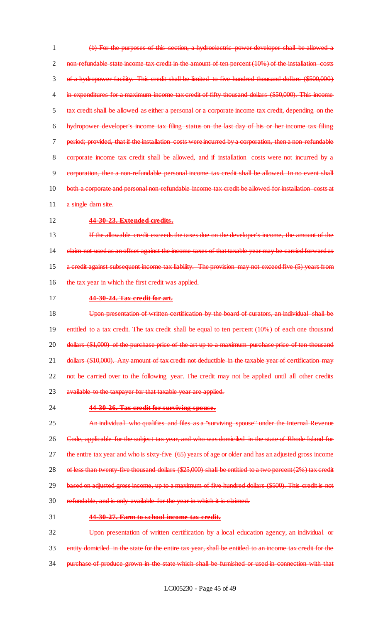(b) For the purposes of this section, a hydroelectric power developer shall be allowed a 2 non-refundable state income tax credit in the amount of ten percent (10%) of the installation costs of a hydropower facility. This credit shall be limited to five hundred thousand dollars (\$500,000) 4 in expenditures for a maximum income tax credit of fifty thousand dollars (\$50,000). This income tax credit shall be allowed as either a personal or a corporate income tax credit, depending on the hydropower developer's income tax filing status on the last day of his or her income tax filing period; provided, that if the installation costs were incurred by a corporation, then a non-refundable corporate income tax credit shall be allowed, and if installation costs were not incurred by a corporation, then a non-refundable personal income tax credit shall be allowed. In no event shall 10 both a corporate and personal non-refundable income tax credit be allowed for installation costs at 11 a single dam site.

### 12 **44-30-23. Extended credits.**

13 If the allowable credit exceeds the taxes due on the developer's income, the amount of the 14 claim not used as an offset against the income taxes of that taxable year may be carried forward as 15 a credit against subsequent income tax liability. The provision may not exceed five (5) years from 16 the tax year in which the first credit was applied.

17 **44-30-24. Tax credit for art.**

18 Upon presentation of written certification by the board of curators, an individual shall be 19 entitled to a tax credit. The tax credit shall be equal to ten percent (10%) of each one thousand 20 dollars (\$1,000) of the purchase price of the art up to a maximum purchase price of ten thousand 21 dollars (\$10,000). Any amount of tax credit not deductible in the taxable year of certification may 22 not be carried over to the following year. The credit may not be applied until all other credits 23 available to the taxpayer for that taxable year are applied.

### 24 **44-30-26. Tax credit for surviving spouse.**

25 An individual who qualifies and files as a "surviving spouse" under the Internal Revenue 26 Code, applicable for the subject tax year, and who was domiciled in the state of Rhode Island for 27 the entire tax year and who is sixty-five (65) years of age or older and has an adjusted gross income 28 of less than twenty-five thousand-dollars (\$25,000) shall be entitled to a two percent (2%) tax credit 29 based on adjusted gross income, up to a maximum of five hundred dollars (\$500). This credit is not 30 refundable, and is only available for the year in which it is claimed. 31 **44-30-27. Farm to school income tax credit.**

32 Upon presentation of written certification by a local education agency, an individual or 33 entity domiciled in the state for the entire tax year, shall be entitled to an income tax credit for the 34 purchase of produce grown in the state which shall be furnished or used in connection with that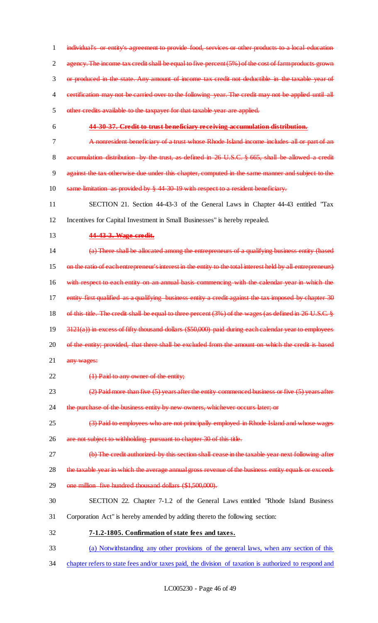1 individual's or entity's agreement to provide food, services or other products to a local education 2 agency. The income tax credit shall be equal to five percent (5%) of the cost of farm products grown 3 or produced in the state. Any amount of income tax credit not deductible in the taxable year of 4 certification may not be carried over to the following year. The credit may not be applied until all 5 other credits available to the taxpayer for that taxable year are applied.

### 6 **44-30-37. Credit to trust beneficiary receiving accumulation distribution.**

- 7 A nonresident beneficiary of a trust whose Rhode Island income includes all or part of an 8 accumulation distribution by the trust, as defined in 26 U.S.C. § 665, shall be allowed a credit 9 against the tax otherwise due under this chapter, computed in the same manner and subject to the 10 same limitation as provided by § 44-30-19 with respect to a resident beneficiary.
- 11 SECTION 21. Section 44-43-3 of the General Laws in Chapter 44-43 entitled "Tax 12 Incentives for Capital Investment in Small Businesses" is hereby repealed.
- 13 **44-43-3. Wage credit.**

14 (a) There shall be allocated among the entrepreneurs of a qualifying business entity (based 15 on the ratio of each entrepreneur's interest in the entity to the total interest held by all entrepreneurs) 16 with respect to each entity on an annual basis commencing with the calendar year in which the 17 entity first qualified as a qualifying business entity a credit against the tax imposed by chapter 30 18 of this title. The credit shall be equal to three percent (3%) of the wages (as defined in 26 U.S.C. § 19 3121(a)) in excess of fifty thousand dollars (\$50,000) paid during each calendar year to employees 20 of the entity; provided, that there shall be excluded from the amount on which the credit is based

- 21 any wages:
- 22 (1) Paid to any owner of the entity;
- 23 (2) Paid more than five (5) years after the entity commenced business or five (5) years after

24 the purchase of the business entity by new owners, whichever occurs later; or

- 25 (3) Paid to employees who are not principally employed in Rhode Island and whose wages
- 26 are not subject to withholding pursuant to chapter 30 of this title.
- 27 (b) The credit authorized by this section shall cease in the taxable year next following after
- 28 the taxable year in which the average annual gross revenue of the business entity equals or exceeds
- 29 one million five hundred thousand dollars (\$1,500,000).
- 30 SECTION 22. Chapter 7-1.2 of the General Laws entitled "Rhode Island Business
- 31 Corporation Act" is hereby amended by adding thereto the following section:
- 32 **7-1.2-1805. Confirmation of state fees and taxes.**
- 33 (a) Notwithstanding any other provisions of the general laws, when any section of this
- 34 chapter refers to state fees and/or taxes paid, the division of taxation is authorized to respond and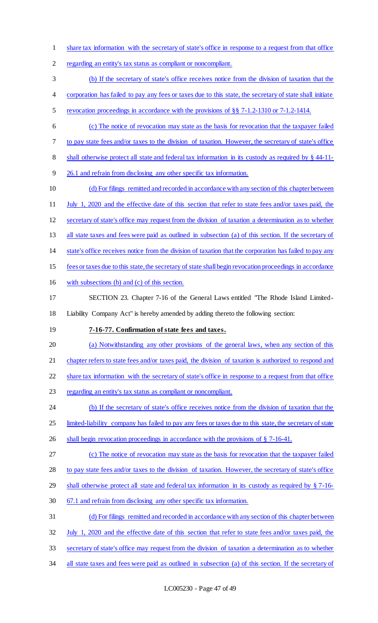share tax information with the secretary of state's office in response to a request from that office

regarding an entity's tax status as compliant or noncompliant.

(b) If the secretary of state's office receives notice from the division of taxation that the

- 4 corporation has failed to pay any fees or taxes due to this state, the secretary of state shall initiate
- revocation proceedings in accordance with the provisions of §§ 7-1.2-1310 or 7-1.2-1414.
- (c) The notice of revocation may state as the basis for revocation that the taxpayer failed
- to pay state fees and/or taxes to the division of taxation. However, the secretary of state's office
- 8 shall otherwise protect all state and federal tax information in its custody as required by § 44-11-
- 26.1 and refrain from disclosing any other specific tax information.
- 10 (d) For filings remitted and recorded in accordance with any section of this chapter between July 1, 2020 and the effective date of this section that refer to state fees and/or taxes paid, the secretary of state's office may request from the division of taxation a determination as to whether all state taxes and fees were paid as outlined in subsection (a) of this section. If the secretary of state's office receives notice from the division of taxation that the corporation has failed to pay any fees or taxes due to this state, the secretary of state shall begin revocation proceedings in accordance
- with subsections (b) and (c) of this section.
- SECTION 23. Chapter 7-16 of the General Laws entitled "The Rhode Island Limited-Liability Company Act" is hereby amended by adding thereto the following section:
- 

# **7-16-77. Confirmation of state fees and taxes.**

(a) Notwithstanding any other provisions of the general laws, when any section of this

21 chapter refers to state fees and/or taxes paid, the division of taxation is authorized to respond and

share tax information with the secretary of state's office in response to a request from that office

23 regarding an entity's tax status as compliant or noncompliant.

 (b) If the secretary of state's office receives notice from the division of taxation that the 25 limited-liability company has failed to pay any fees or taxes due to this state, the secretary of state

- 26 shall begin revocation proceedings in accordance with the provisions of § 7-16-41.
- (c) The notice of revocation may state as the basis for revocation that the taxpayer failed
- 28 to pay state fees and/or taxes to the division of taxation. However, the secretary of state's office
- shall otherwise protect all state and federal tax information in its custody as required by § 7-16-
- 67.1 and refrain from disclosing any other specific tax information.
- (d) For filings remitted and recorded in accordance with any section of this chapter between July 1, 2020 and the effective date of this section that refer to state fees and/or taxes paid, the
- secretary of state's office may request from the division of taxation a determination as to whether
- 34 all state taxes and fees were paid as outlined in subsection (a) of this section. If the secretary of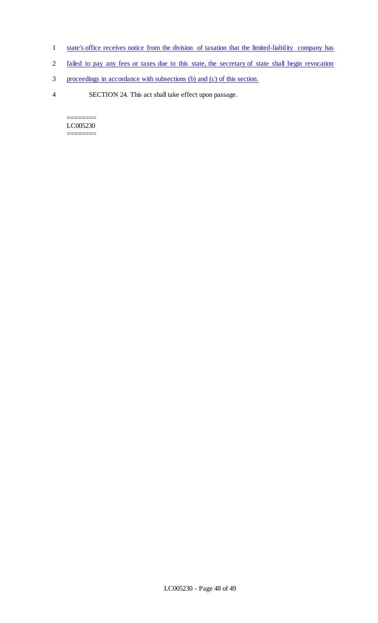- 1 state's office receives notice from the division of taxation that the limited-liability company has
- 2 failed to pay any fees or taxes due to this state, the secretary of state shall begin revocation
- 3 proceedings in accordance with subsections (b) and (c) of this section.
- 4 SECTION 24. This act shall take effect upon passage.

======== LC005230 ========